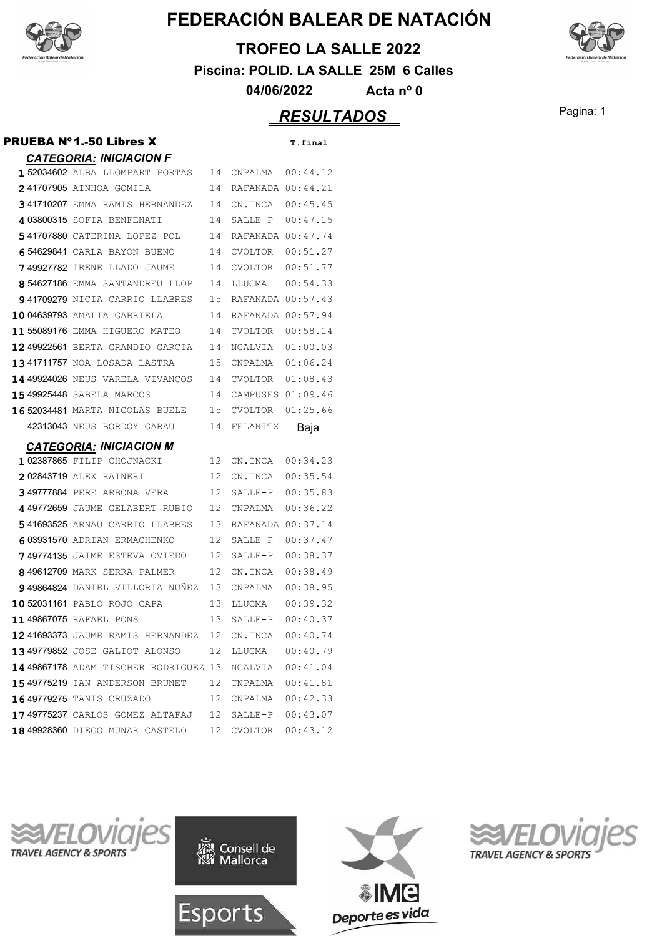

#### **TROFEO LA SALLE 2022**

**Piscina: POLID. LA SALLE 25M 6 Calles**

**04/06/2022 Acta nº 0**

#### **RESULTADOS** Pagina: 1

#### *CATEGORIA: INICIACION F* 152034602 ALBA LLOMPART PORTAS 14 CNPALMA 00:44.12 **241707905 AINHOA GOMILA** 14 RAFANADA 00:44.21 **341710207 EMMA RAMIS HERNANDEZ** 14 CN.INCA 00:45.45 4 03800315 SOFIA BENFENATI 14 SALLE-P 00:47.15 541707880 CATERINA LOPEZ POL 14 RAFANADA 00:47.74 6 54629841 CARLA BAYON BUENO 14 CVOLTOR 00:51.27 **7** 49927782 IRENE LLADO JAUME 14 CVOLTOR 00:51.77 **8** 54627186 EMMA SANTANDREU LLOP 14 LLUCMA 00:54.33 **9 41709279** NICIA CARRIO LLABRES 15 RAFANADA 00:57.43 **1004639793 AMALIA GABRIELA** 14 RAFANADA 00:57.94 **11 55089176 EMMA HIGUERO MATEO** 14 CVOLTOR 00:58.14 **12 49922561 BERTA GRANDIO GARCIA** 14 NCALVIA 01:00.03 **1341711757** NOA LOSADA LASTRA 15 CNPALMA 01:06.24 **14 49924026 NEUS VARELA VIVANCOS** 14 CVOLTOR 01:08.43 **1549925448 SABELA MARCOS** 14 CAMPUSES 01:09.46 **16 52034481 MARTA NICOLAS BUELE** 15 CVOLTOR 01:25.66 42313043 NEUS BORDOY GARAU 14 FELANITX Baia *CATEGORIA: INICIACION M* 102387865 FILIP CHOJNACKI 12 CN.INCA 00:34.23 **202843719 ALEX RAINERI 12 CN.INCA 00:35.54 349777884 PERE ARBONA VERA** 12 SALLE-P 00:35.83 4 49772659 JAUME GELABERT RUBIO 12 CNPALMA 00:36.22 541693525 ARNAU CARRIO LLABRES 13 RAFANADA 00:37.14 **603931570 ADRIAN ERMACHENKO** 12 SALLE-P 00:37.47 **749774135** JAIME ESTEVA OVIEDO 12 SALLE-P 00:38.37 **849612709 MARK SERRA PALMER 12 CN.INCA 00:38.49 9** 49864824 DANIEL VILLORIA NUÑEZ 13 CNPALMA 00:38.95 **10 52031161 PABLO ROJO CAPA** 13 LLUCMA 00:39.32 **11 49867075 RAFAEL PONS** 13 SALLE-P 00:40.37 12 41693373 JAUME RAMIS HERNANDEZ 12 CN.INCA 00:40.74 **13 49779852** JOSE GALIOT ALONSO 12 LLUCMA 00:40.79 14 49867178 ADAM TISCHER RODRIGUEZ 13 NCALVIA 00:41.04 **1549775219 IAN ANDERSON BRUNET** 12 CNPALMA 00:41.81 **1649779275 TANIS CRUZADO 12 CNPALMA 00:42.33 17 49775237** CARLOS GOMEZ ALTAFAJ 12 SALLE-P 00:43.07 **18 49928360 DIEGO MUNAR CASTELO** 12 CVOLTOR 00:43.12

**PRUEBA N°1.-50 Libres X** T.final









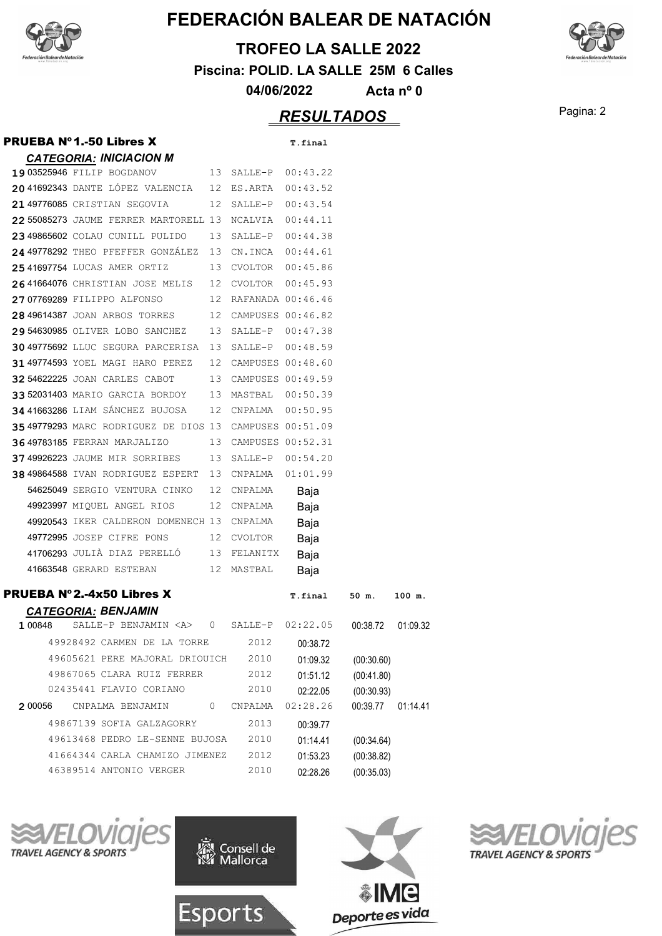

#### **TROFEO LA SALLE 2022**

**Piscina: POLID. LA SALLE 25M 6 Calles**

**04/06/2022 Acta nº 0**

## Pagina: 2 *RESULTADOS*

| <b>PRUEBA Nº1.-50 Libres X</b>                          |              |                      | T.final  |            |          |
|---------------------------------------------------------|--------------|----------------------|----------|------------|----------|
| <b>CATEGORIA: INICIACION M</b>                          |              |                      |          |            |          |
| 19 03525946 FILIP BOGDANOV                              |              | 13 SALLE-P 00:43.22  |          |            |          |
| 20 41692343 DANTE LÓPEZ VALENCIA                        |              | 12 ES.ARTA           | 00:43.52 |            |          |
| 21 49776085 CRISTIAN SEGOVIA                            |              | 12 SALLE-P 00:43.54  |          |            |          |
| 22 55085273 JAUME FERRER MARTORELL 13 NCALVIA           |              |                      | 00:44.11 |            |          |
| 2349865602 COLAU CUNILL PULIDO                          |              | 13 SALLE-P 00:44.38  |          |            |          |
| 24 49778292 THEO PFEFFER GONZÁLEZ 13 CN.INCA 00:44.61   |              |                      |          |            |          |
| 2541697754 LUCAS AMER ORTIZ                             |              | 13 CVOLTOR 00:45.86  |          |            |          |
| 2641664076 CHRISTIAN JOSE MELIS                         |              | 12 CVOLTOR 00:45.93  |          |            |          |
| 27 07769289 FILIPPO ALFONSO                             |              | 12 RAFANADA 00:46.46 |          |            |          |
| 28 49614387 JOAN ARBOS TORRES                           |              | 12 CAMPUSES 00:46.82 |          |            |          |
| 29 54630985 OLIVER LOBO SANCHEZ                         |              | 13 SALLE-P 00:47.38  |          |            |          |
| 30 49775692 LLUC SEGURA PARCERISA                       |              | 13 SALLE-P 00:48.59  |          |            |          |
| 31 49774593 YOEL MAGI HARO PEREZ                        |              | 12 CAMPUSES 00:48.60 |          |            |          |
| 32 54622225 JOAN CARLES CABOT                           |              | 13 CAMPUSES 00:49.59 |          |            |          |
| 33 52031403 MARIO GARCIA BORDOY                         |              | 13 MASTBAL 00:50.39  |          |            |          |
| 34 41663286 LIAM SÁNCHEZ BUJOSA                         |              | 12 CNPALMA           | 00:50.95 |            |          |
| 35 49779293 MARC RODRIGUEZ DE DIOS 13 CAMPUSES 00:51.09 |              |                      |          |            |          |
| 36 49783185 FERRAN MARJALIZO                            |              | 13 CAMPUSES 00:52.31 |          |            |          |
| 37 49926223 JAUME MIR SORRIBES                          |              | 13 SALLE-P 00:54.20  |          |            |          |
| 38 49864588 IVAN RODRIGUEZ ESPERT                       |              | 13 CNPALMA           | 01:01.99 |            |          |
| 54625049 SERGIO VENTURA CINKO                           |              | 12 CNPALMA           | Baja     |            |          |
| 49923997 MIQUEL ANGEL RIOS                              |              | 12 CNPALMA           | Baja     |            |          |
| 49920543 IKER CALDERON DOMENECH 13 CNPALMA              |              |                      | Baja     |            |          |
| 49772995 JOSEP CIFRE PONS                               |              | 12 CVOLTOR           | Baja     |            |          |
| 41706293 JULIÀ DIAZ PERELLÓ                             |              | 13 FELANITX          | Baja     |            |          |
| 41663548 GERARD ESTEBAN                                 |              | 12 MASTBAL           | Baja     |            |          |
| <b>PRUEBA Nº2.-4x50 Libres X</b>                        |              |                      | T.final  | 50 m.      |          |
| <b>CATEGORIA: BENJAMIN</b>                              |              |                      |          |            | 100 m.   |
| 1 00848<br>SALLE-P BENJAMIN <a></a>                     | $\mathbf{0}$ | SALLE-P              | 02:22.05 | 00:38.72   | 01:09.32 |
| 49928492 CARMEN DE LA TORRE                             |              | 2012                 | 00:38.72 |            |          |
| 49605621 PERE MAJORAL DRIOUICH                          |              | 2010                 | 01:09.32 | (00:30.60) |          |
| 49867065 CLARA RUIZ FERRER                              |              | 2012                 | 01:51.12 | (00:41.80) |          |
| 02435441 FLAVIO CORIANO                                 |              | 2010                 | 02:22.05 | (00:30.93) |          |
| 2 00056<br>CNPALMA BENJAMIN                             | 0            | CNPALMA              | 02:28.26 | 00:39.77   | 01:14.41 |
| 49867139 SOFIA GALZAGORRY                               |              | 2013                 | 00:39.77 |            |          |
| 49613468 PEDRO LE-SENNE BUJOSA                          |              | 2010                 | 01:14.41 | (00:34.64) |          |
| 41664344 CARLA CHAMIZO JIMENEZ                          |              | 2012                 | 01:53.23 | (00:38.82) |          |
| 46389514 ANTONIO VERGER                                 |              | 2010                 | 02:28.26 | (00:35.03) |          |
|                                                         |              |                      |          |            |          |









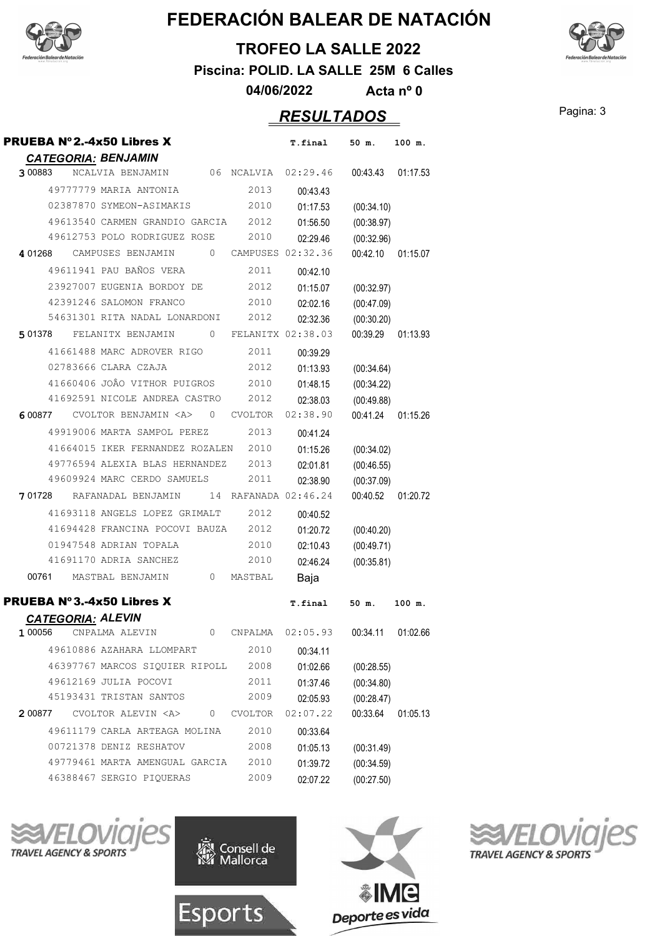



**TROFEO LA SALLE 2022**

**Piscina: POLID. LA SALLE 25M 6 Calles**

**04/06/2022 Acta nº 0**

#### Pagina: 3 *RESULTADOS*

| <b>PRUEBA Nº2.-4x50 Libres X</b>                   | T.final        | $50 \text{ m}$ .<br>100 m. |  |
|----------------------------------------------------|----------------|----------------------------|--|
| <b>CATEGORIA: BENJAMIN</b>                         |                |                            |  |
| 06 NCALVIA 02:29.46<br>3 00883<br>NCALVIA BENJAMIN |                | 00:43.43 01:17.53          |  |
| 2013<br>49777779 MARIA ANTONIA                     | 00:43.43       |                            |  |
| 2010<br>02387870 SYMEON-ASIMAKIS                   | 01:17.53       | (00:34.10)                 |  |
| 49613540 CARMEN GRANDIO GARCIA 2012                | 01:56.50       | (00:38.97)                 |  |
| 49612753 POLO RODRIGUEZ ROSE<br>2010               | 02:29.46       | (00:32.96)                 |  |
| 401268 CAMPUSES BENJAMIN 0 CAMPUSES 02:32.36       |                | 00:42.10<br>01:15.07       |  |
| 49611941 PAU BAÑOS VERA<br>2011                    | 00:42.10       |                            |  |
| 23927007 EUGENIA BORDOY DE<br>2012                 | 01:15.07       | (00:32.97)                 |  |
| 42391246 SALOMON FRANCO<br>2010                    | 02:02.16       | (00:47.09)                 |  |
| 54631301 RITA NADAL LONARDONI 2012                 | 02:32.36       | (00:30.20)                 |  |
| 501378 FELANITX BENJAMIN 0 FELANITX 02:38.03       |                | 00:39.29<br>01:13.93       |  |
| 41661488 MARC ADROVER RIGO<br>2011                 | 00:39.29       |                            |  |
| 02783666 CLARA CZAJA<br>2012                       | 01:13.93       | (00:34.64)                 |  |
| 41660406 JOÂO VITHOR PUIGROS 2010                  | 01:48.15       | (00:34.22)                 |  |
| 41692591 NICOLE ANDREA CASTRO 2012                 | 02:38.03       | (00:49.88)                 |  |
| 600877 CVOLTOR BENJAMIN <a> 0 CVOLTOR</a>          | 02:38.90       | 00:41.24<br>01:15.26       |  |
| 49919006 MARTA SAMPOL PEREZ 2013                   | 00:41.24       |                            |  |
| 41664015 IKER FERNANDEZ ROZALEN 2010               | 01:15.26       | (00:34.02)                 |  |
| 49776594 ALEXIA BLAS HERNANDEZ<br>2013             | 02:01.81       | (00:46.55)                 |  |
| 49609924 MARC CERDO SAMUELS<br>2011                | 02:38.90       | (00:37.09)                 |  |
| 701728 RAFANADAL BENJAMIN<br>14 RAFANADA 02:46.24  |                | 00:40.52<br>01:20.72       |  |
| 41693118 ANGELS LOPEZ GRIMALT<br>2012              | 00:40.52       |                            |  |
| 41694428 FRANCINA POCOVI BAUZA 2012                | 01:20.72       | (00:40.20)                 |  |
| 01947548 ADRIAN TOPALA<br>2010                     | 02:10.43       | (00:49.71)                 |  |
| 41691170 ADRIA SANCHEZ<br>2010                     | 02:46.24       | (00:35.81)                 |  |
| 00761 MASTBAL BENJAMIN<br>0 MASTBAL                | Baja           |                            |  |
| <b>PRUEBA Nº3.-4x50 Libres X</b>                   | <b>T.final</b> | 50 m.<br>100 m.            |  |
| <b>CATEGORIA: ALEVIN</b>                           |                |                            |  |
| 0 CNPALMA 02:05.93<br>1 00056<br>CNPALMA ALEVIN    |                | 00:34.11 01:02.66          |  |
| 49610886 AZAHARA LLOMPART<br>2010                  | 00:34.11       |                            |  |
| 46397767 MARCOS SIQUIER RIPOLL<br>2008             | 01:02.66       | (00:28.55)                 |  |
| 49612169 JULIA POCOVI<br>2011                      | 01:37.46       | (00:34.80)                 |  |
| 45193431 TRISTAN SANTOS<br>2009                    | 02:05.93       | (00:28.47)                 |  |
| 200877 CVOLTOR ALEVIN <a> 0 CVOLTOR</a>            | 02:07.22       | 00:33.64<br>01:05.13       |  |
| 49611179 CARLA ARTEAGA MOLINA<br>2010              | 00:33.64       |                            |  |
| 2008<br>00721378 DENIZ RESHATOV                    | 01:05.13       | (00:31.49)                 |  |
| 49779461 MARTA AMENGUAL GARCIA<br>2010             | 01:39.72       | (00:34.59)                 |  |
| 46388467 SERGIO PIQUERAS<br>2009                   | 02:07.22       | (00:27.50)                 |  |







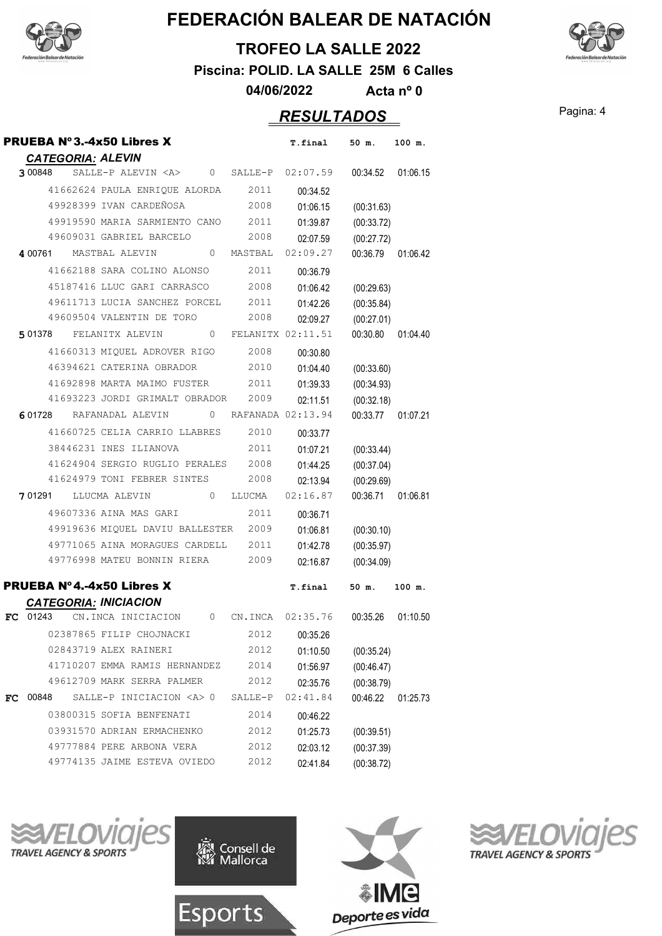



**TROFEO LA SALLE 2022**

**Piscina: POLID. LA SALLE 25M 6 Calles**

**04/06/2022 Acta nº 0**

#### Pagina: 4 *RESULTADOS*

| <b>CATEGORIA: ALEVIN</b>     | <b>PRUEBA Nº3.-4x50 Libres X</b>                            |         | T.final       | 50 m.               | 100 m.             |
|------------------------------|-------------------------------------------------------------|---------|---------------|---------------------|--------------------|
| 3 00848                      | SALLE-P ALEVIN <a> 0 SALLE-P 02:07.59 00:34.52 01:06.15</a> |         |               |                     |                    |
|                              | 41662624 PAULA ENRIQUE ALORDA 2011                          |         | 00:34.52      |                     |                    |
|                              | 49928399 IVAN CARDEÑOSA                                     | 2008    | 01:06.15      | (00:31.63)          |                    |
|                              | 49919590 MARIA SARMIENTO CANO 2011                          |         | 01:39.87      | (00:33.72)          |                    |
|                              | 49609031 GABRIEL BARCELO                                    | 2008    | 02:07.59      | (00:27.72)          |                    |
|                              | 400761 MASTBAL ALEVIN 0 MASTBAL                             |         | 02:09.27      |                     | 00:36.79  01:06.42 |
|                              | 41662188 SARA COLINO ALONSO 2011                            |         | 00:36.79      |                     |                    |
|                              | 45187416 LLUC GARI CARRASCO 2008                            |         | 01:06.42      | (00:29.63)          |                    |
|                              | 49611713 LUCIA SANCHEZ PORCEL 2011                          |         | 01:42.26      | (00:35.84)          |                    |
|                              | 49609504 VALENTIN DE TORO                                   | 2008    | 02:09.27      | (00:27.01)          |                    |
|                              | 501378 FELANITX ALEVIN 0 FELANITX 02:11.51                  |         |               |                     | 00:30.80 01:04.40  |
|                              | 41660313 MIQUEL ADROVER RIGO 2008                           |         | 00:30.80      |                     |                    |
|                              | 46394621 CATERINA OBRADOR                                   | 2010    | 01:04.40      | (00:33.60)          |                    |
|                              | 41692898 MARTA MAIMO FUSTER 2011                            |         | 01:39.33      | (00:34.93)          |                    |
|                              | 41693223 JORDI GRIMALT OBRADOR 2009                         |         | 02:11.51      | (00:32.18)          |                    |
|                              | 601728 RAFANADAL ALEVIN 0 RAFANADA 02:13.94                 |         |               |                     | 00:33.77 01:07.21  |
|                              | 41660725 CELIA CARRIO LLABRES 2010                          |         | 00:33.77      |                     |                    |
|                              | 38446231 INES ILIANOVA                                      | 2011    | 01:07.21      | (00:33.44)          |                    |
|                              | 41624904 SERGIO RUGLIO PERALES 2008                         |         | 01:44.25      | (00:37.04)          |                    |
|                              | 41624979 TONI FEBRER SINTES 2008                            |         |               | 02:13.94 (00:29.69) |                    |
|                              | 701291 LLUCMA ALEVIN 0 LLUCMA 02:16.87                      |         |               |                     | 00:36.71  01:06.81 |
|                              | 49607336 AINA MAS GARI                                      | 2011    | 00:36.71      |                     |                    |
|                              | 49919636 MIQUEL DAVIU BALLESTER 2009                        |         | 01:06.81      | (00:30.10)          |                    |
|                              | 49771065 AINA MORAGUES CARDELL 2011                         |         | 01:42.78      | (00:35.97)          |                    |
|                              | 49776998 MATEU BONNIN RIERA 2009                            |         | 02:16.87      | (00:34.09)          |                    |
|                              | <b>PRUEBA Nº4.-4x50 Libres X</b>                            |         | T.final       | 50 m.               | 100 m.             |
| <b>CATEGORIA: INICIACION</b> |                                                             |         |               |                     |                    |
|                              | FC 01243 CN.INCA INICIACION 0 CN.INCA 02:35.76 00:35.26     |         |               |                     | 01:10.50           |
|                              | 02387865 FILIP CHOJNACKI                                    |         | 2012 00:35.26 |                     |                    |
|                              | 02843719 ALEX RAINERI                                       | 2012    | 01:10.50      | (00:35.24)          |                    |
|                              | 41710207 EMMA RAMIS HERNANDEZ                               | 2014    | 01:56.97      | (00:46.47)          |                    |
|                              | 49612709 MARK SERRA PALMER                                  | 2012    | 02:35.76      | (00:38.79)          |                    |
| <b>FC</b> 00848              | SALLE-P INICIACION <a> 0</a>                                | SALLE-P | 02:41.84      | 00:46.22            | 01:25.73           |
|                              | 03800315 SOFIA BENFENATI                                    | 2014    | 00:46.22      |                     |                    |
|                              | 03931570 ADRIAN ERMACHENKO                                  | 2012    | 01:25.73      | (00:39.51)          |                    |
|                              | 49777884 PERE ARBONA VERA                                   | 2012    | 02:03.12      | (00:37.39)          |                    |
|                              | 49774135 JAIME ESTEVA OVIEDO                                | 2012    | 02:41.84      | (00:38.72)          |                    |







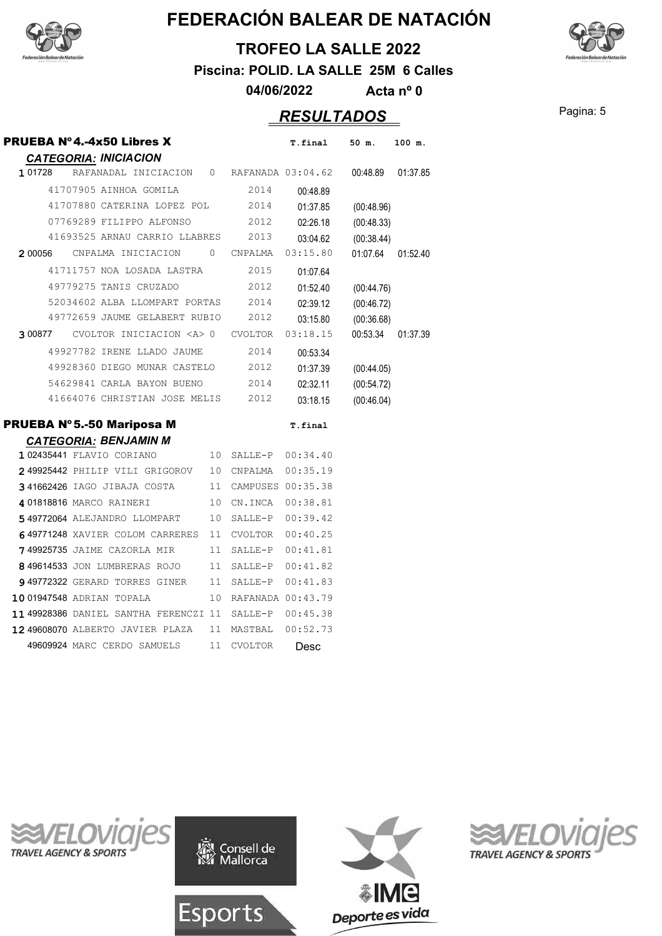



**TROFEO LA SALLE 2022**

**Piscina: POLID. LA SALLE 25M 6 Calles**

**04/06/2022 Acta nº 0**

## Pagina: 5 *RESULTADOS*

| <b>PRUEBA Nº4.-4x50 Libres X</b>                                                    |          |                   | T.final              | 50 m.                  | 100 m.   |
|-------------------------------------------------------------------------------------|----------|-------------------|----------------------|------------------------|----------|
| <b>CATEGORIA: INICIACION</b><br>1 01728<br>RAFANADAL INICIACION 0 RAFANADA 03:04.62 |          |                   |                      | 00:48.89               | 01:37.85 |
| 41707905 AINHOA GOMILA                                                              |          | 2014              | 00:48.89             |                        |          |
| 41707880 CATERINA LOPEZ POL                                                         |          | 2014              |                      |                        |          |
| 07769289 FILIPPO ALFONSO                                                            |          | 2012              | 01:37.85             | (00:48.96)             |          |
| 41693525 ARNAU CARRIO LLABRES                                                       |          | 2013              | 02:26.18             | (00:48.33)             |          |
| CNPALMA INICIACION<br>2 00056                                                       | $\Omega$ | CNPALMA           | 03:04.62<br>03:15.80 | (00:38.44)<br>01:07.64 | 01:52.40 |
| 41711757 NOA LOSADA LASTRA                                                          |          | 2015              |                      |                        |          |
| 49779275 TANIS CRUZADO                                                              |          | 2012              | 01:07.64             |                        |          |
|                                                                                     |          |                   | 01:52.40             | (00:44.76)             |          |
| 52034602 ALBA LLOMPART PORTAS<br>49772659 JAUME GELABERT RUBIO                      |          | 2014<br>2012      | 02:39.12             | (00:46.72)             |          |
|                                                                                     |          |                   | 03:15.80             | (00:36.68)             |          |
| 300877 CVOLTOR INICIACION <a> 0 CVOLTOR</a>                                         |          |                   | 03:18.15             | 00:53.34               | 01:37.39 |
| 49927782 IRENE LLADO JAUME                                                          |          | 2014              | 00:53.34             |                        |          |
| 49928360 DIEGO MUNAR CASTELO                                                        |          | 2012              | 01:37.39             | (00:44.05)             |          |
| 54629841 CARLA BAYON BUENO                                                          |          | 2014              | 02:32.11             | (00:54.72)             |          |
| 41664076 CHRISTIAN JOSE MELIS                                                       |          | 2012              | 03:18.15             | (00:46.04)             |          |
| <b>PRUEBA Nº 5.-50 Mariposa M</b>                                                   |          |                   | T.final              |                        |          |
| <b>CATEGORIA: BENJAMIN M</b>                                                        |          |                   |                      |                        |          |
| 1 02435441 FLAVIO CORIANO                                                           | 10       | SALLE-P           | 00:34.40             |                        |          |
| 249925442 PHILIP VILI GRIGOROV                                                      | 10       | CNPALMA           | 00:35.19             |                        |          |
| 341662426 IAGO JIBAJA COSTA                                                         | 11       | CAMPUSES 00:35.38 |                      |                        |          |
| 4 01818816 MARCO RAINERI                                                            | 10       | CN.INCA           | 00:38.81             |                        |          |
| 549772064 ALEJANDRO LLOMPART                                                        | 10       | SALLE-P           | 00:39.42             |                        |          |
| 649771248 XAVIER COLOM CARRERES                                                     | 11       | CVOLTOR           | 00:40.25             |                        |          |
| 749925735 JAIME CAZORLA MIR                                                         | 11       | SALLE-P           | 00:41.81             |                        |          |
| 849614533 JON LUMBRERAS ROJO                                                        | 11       | $SALLE-P$         | 00:41.82             |                        |          |
| 949772322 GERARD TORRES GINER                                                       | 11       | SALLE-P           | 00:41.83             |                        |          |
| 1001947548 ADRIAN TOPALA                                                            | 10       |                   | RAFANADA 00:43.79    |                        |          |
| 1149928386 DANIEL SANTHA FERENCZI 11                                                |          | SALLE-P           | 00:45.38             |                        |          |
| 12 49608070 ALBERTO JAVIER PLAZA                                                    | 11       | MASTBAL           | 00:52.73             |                        |          |
| 49609924 MARC CERDO SAMUELS                                                         | 11       | <b>CVOLTOR</b>    | Desc                 |                        |          |







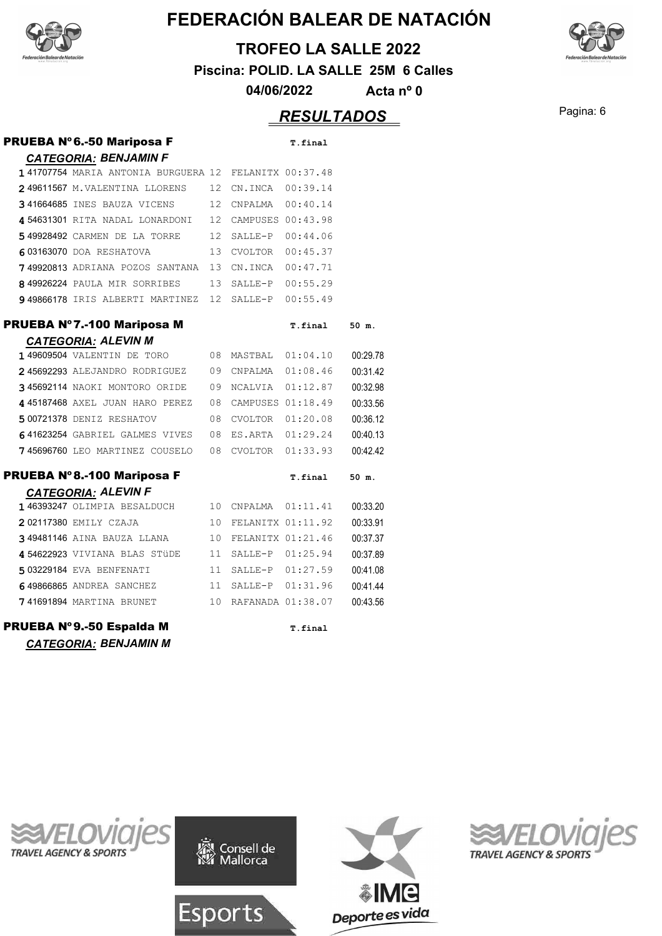

#### **TROFEO LA SALLE 2022**

**Piscina: POLID. LA SALLE 25M 6 Calles**

**04/06/2022 Acta nº 0**

#### Pagina: 6 *RESULTADOS*

#### PRUEBA Nº 6.-50 Mariposa F T.final *CATEGORIA: BENJAMIN F* 141707754 MARIA ANTONIA BURGUERA 12 FELANITX 00:37.48 **249611567** M.VALENTINA LLORENS 12 CN.INCA 00:39.14 **341664685 INES BAUZA VICENS** 12 CNPALMA 00:40.14

| 454631301 RITA NADAL LONARDONI                      | 12 CAMPUSES 00:43.98 |  |
|-----------------------------------------------------|----------------------|--|
| 549928492 CARMEN DE LA TORRE                        | 12 SALLE-P 00:44.06  |  |
| 603163070 DOA RESHATOVA                             | 13 CVOLTOR 00:45.37  |  |
| 749920813 ADRIANA POZOS SANTANA 13 CN.INCA 00:47.71 |                      |  |
| 849926224 PAULA MIR SORRIBES                        | 13 SALLE-P 00:55.29  |  |
| 949866178 IRIS ALBERTI MARTINEZ 12 SALLE-P 00:55.49 |                      |  |

#### **PRUEBA Nº7.-100 Mariposa M**

| T.final | 50 m. |  |
|---------|-------|--|
|         |       |  |
|         |       |  |

|  | <b>CATEGORIA: ALEVIN M</b>     |     |                   |          |          |
|--|--------------------------------|-----|-------------------|----------|----------|
|  | 149609504 VALENTIN DE TORO     | 08. | MASTBAL           | 01:04.10 | 00:29.78 |
|  | 245692293 ALEJANDRO RODRIGUEZ  | 09  | CNPALMA           | 01:08.46 | 00:31.42 |
|  | 345692114 NAOKI MONTORO ORIDE  | 09  | NCALVIA           | 01:12.87 | 00:32.98 |
|  | 445187468 AXEL JUAN HARO PEREZ | 08. | CAMPUSES 01:18.49 |          | 00:33.56 |
|  | 5 00721378 DENIZ RESHATOV      | 08. | <b>CVOLTOR</b>    | 01:20.08 | 00:36.12 |
|  | 641623254 GABRIEL GALMES VIVES | 08. | ES.ARTA           | 01:29.24 | 00:40.13 |
|  | 745696760 LEO MARTINEZ COUSELO | 08  | <b>CVOLTOR</b>    | 01:33.93 | 00:42.42 |
|  |                                |     |                   |          |          |

#### PRUEBA Nº8.-100 Mariposa F **Temple 10 m** final 50 m

|                                 |    |                      | JV 111.  |
|---------------------------------|----|----------------------|----------|
| <b>CATEGORIA: ALEVIN F</b>      |    |                      |          |
| 146393247 OLIMPIA BESALDUCH     |    | 10 CNPALMA 01:11.41  | 00:33.20 |
| 202117380 EMILY CZAJA           |    | 10 FELANITX 01:11.92 | 00:33.91 |
| 349481146 AINA BAUZA LLANA      |    | 10 FELANITX 01:21.46 | 00:37.37 |
| 454622923 VIVIANA BLAS STÜDE    |    | 11 SALLE-P 01:25.94  | 00:37.89 |
| 5 03229184 EVA BENFENATI        |    | 11 SALLE-P 01:27.59  | 00:41.08 |
| 649866865 ANDREA SANCHEZ        |    | 11 SALLE-P 01:31.96  | 00:41.44 |
| <b>741691894 MARTINA BRUNET</b> | 10 | RAFANADA 01:38.07    | 00:43.56 |
|                                 |    |                      |          |

PRUEBA Nº9.-50 Espalda M **T.final** *CATEGORIA: BENJAMIN M*





**Esports** 





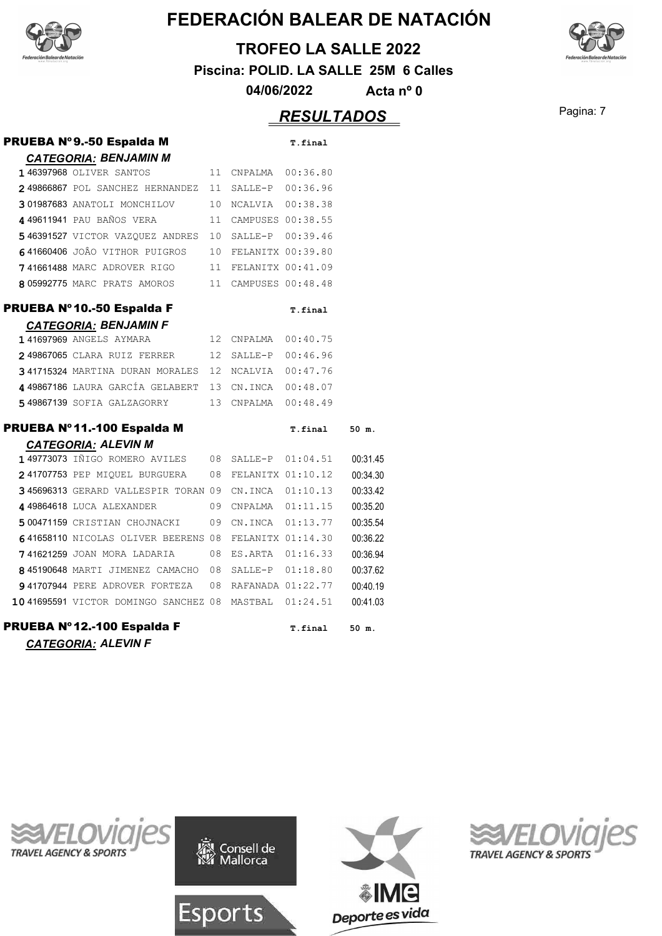

#### **TROFEO LA SALLE 2022**

**Piscina: POLID. LA SALLE 25M 6 Calles**

**04/06/2022 Acta nº 0**

## Pagina: 7 *RESULTADOS*

| PRUEBA Nº9.-50 Espalda M                            |    |                      | T.final           |          |
|-----------------------------------------------------|----|----------------------|-------------------|----------|
| <b>CATEGORIA: BENJAMIN M</b>                        |    |                      |                   |          |
| 146397968 OLIVER SANTOS                             |    | 11 CNPALMA           | 00:36.80          |          |
| 2 49866867 POL SANCHEZ HERNANDEZ                    | 11 |                      | SALLE-P 00:36.96  |          |
| 301987683 ANATOLI MONCHILOV                         | 10 | NCALVIA 00:38.38     |                   |          |
| 449611941 PAU BAÑOS VERA                            |    | 11 CAMPUSES 00:38.55 |                   |          |
| 546391527 VICTOR VAZQUEZ ANDRES                     |    | 10 SALLE-P 00:39.46  |                   |          |
| 641660406 JOÂO VITHOR PUIGROS                       |    | 10 FELANITX 00:39.80 |                   |          |
| 741661488 MARC ADROVER RIGO                         |    | 11 FELANITX 00:41.09 |                   |          |
| 805992775 MARC PRATS AMOROS                         |    | 11 CAMPUSES 00:48.48 |                   |          |
| PRUEBA Nº10.-50 Espalda F                           |    |                      | T.final           |          |
| <b>CATEGORIA: BENJAMIN F</b>                        |    |                      |                   |          |
| <b>141697969 ANGELS AYMARA</b>                      |    | 12 CNPALMA           | 00:40.75          |          |
| 249867065 CLARA RUIZ FERRER                         | 12 | SALLE-P              | 00:46.96          |          |
| 341715324 MARTINA DURAN MORALES 12 NCALVIA          |    |                      | 00:47.76          |          |
| 4 49867186 LAURA GARCÍA GELABERT 13 CN.INCA         |    |                      | 00:48.07          |          |
| 549867139 SOFIA GALZAGORRY                          |    | 13 CNPALMA           | 00:48.49          |          |
| PRUEBA Nº11.-100 Espalda M                          |    |                      | T.final           | 50 m.    |
| <b>CATEGORIA: ALEVIN M</b>                          |    |                      |                   |          |
| 149773073 IÑIGO ROMERO AVILES                       |    | 08 SALLE-P 01:04.51  |                   | 00:31.45 |
| 241707753 PEP MIQUEL BURGUERA                       |    | 08 FELANITX 01:10.12 |                   | 00:34.30 |
| 345696313 GERARD VALLESPIR TORAN 09                 |    | CN.INCA              | 01:10.13          | 00:33.42 |
| 449864618 LUCA ALEXANDER                            |    | 09 CNPALMA 01:11.15  |                   | 00:35.20 |
| 500471159 CRISTIAN CHOJNACKI                        | 09 | CN.INCA              | 01:13.77          | 00:35.54 |
| 641658110 NICOLAS OLIVER BEERENS 08                 |    |                      | FELANITX 01:14.30 | 00:36.22 |
| 741621259 JOAN MORA LADARIA                         | 08 | ES.ARTA              | 01:16.33          | 00:36.94 |
| 845190648 MARTI JIMENEZ CAMACHO 08                  |    | SALLE-P              | 01:18.80          | 00:37.62 |
| 941707944 PERE ADROVER FORTEZA 08 RAFANADA 01:22.77 |    |                      |                   | 00:40.19 |
| 10 41695591 VICTOR DOMINGO SANCHEZ 08 MASTBAL       |    |                      | 01:24.51          | 00:41.03 |
| PRUEBA Nº12.-100 Espalda F                          |    |                      | T.final           | 50 m.    |
| <b>CATEGORIA: ALEVIN F</b>                          |    |                      |                   |          |









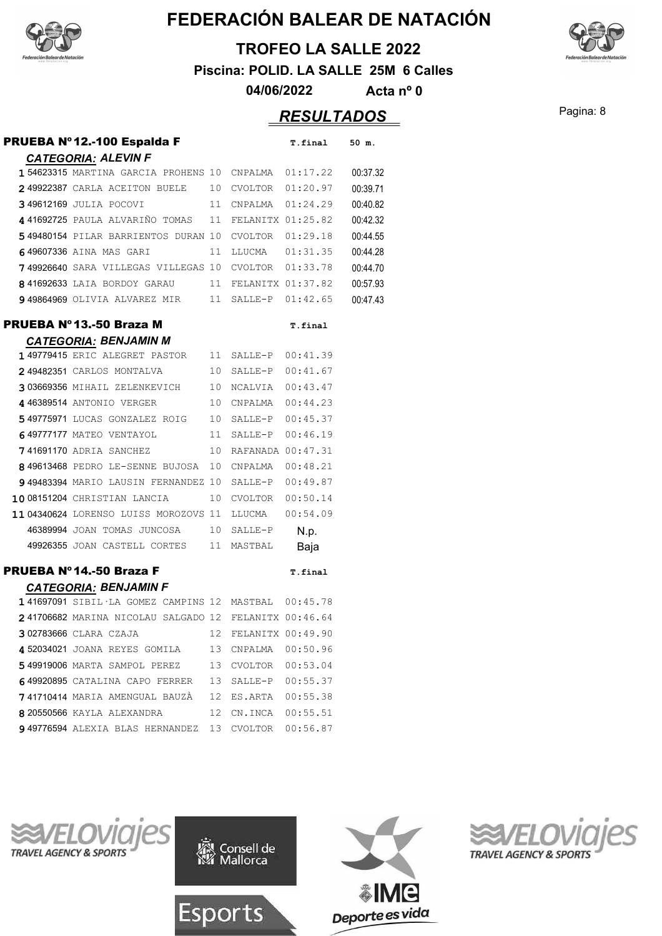

#### **TROFEO LA SALLE 2022**

**Piscina: POLID. LA SALLE 25M 6 Calles**

**04/06/2022 Acta nº 0**

## Pagina: 8 *RESULTADOS*

| PRUEBA Nº 12.-100 Espalda F                               | T.final  | 50 m.    |
|-----------------------------------------------------------|----------|----------|
| <b>CATEGORIA: ALEVIN F</b>                                |          |          |
| 154623315 MARTINA GARCIA PROHENS 10<br>CNPALMA            | 01:17.22 | 00:37.32 |
| 10<br>CVOLTOR<br>249922387 CARLA ACEITON BUELE            | 01:20.97 | 00:39.71 |
| 11<br>349612169 JULIA POCOVI<br>CNPALMA                   | 01:24.29 | 00:40.82 |
| 441692725 paula alvariño tomas<br>11<br>FELANITX 01:25.82 |          | 00:42.32 |
| 549480154 PILAR BARRIENTOS DURAN 10<br>CVOLTOR            | 01:29.18 | 00:44.55 |
| 649607336 AINA MAS GARI<br>11<br>LLUCMA                   | 01:31.35 | 00:44.28 |
| CVOLTOR 01:33.78<br>749926640 SARA VILLEGAS VILLEGAS 10   |          | 00:44.70 |
| 11<br>FELANITX 01:37.82<br>841692633 LAIA BORDOY GARAU    |          | 00:57.93 |
| 949864969 OLIVIA ALVAREZ MIR 11 SALLE-P 01:42.65          |          | 00:47.43 |
| PRUEBA Nº 13.-50 Braza M                                  | T.final  |          |

| <b>CATEGORIA: BENJAMIN M</b>          |    |                   |          |
|---------------------------------------|----|-------------------|----------|
| 149779415 ERIC ALEGRET PASTOR         | 11 | SALLE-P           | 00:41.39 |
| 249482351 CARLOS MONTALVA             | 10 | SALLE-P           | 00:41.67 |
| 303669356 MIHAIL ZELENKEVICH          | 10 | <b>NCALVIA</b>    | 00:43.47 |
| 446389514 ANTONIO VERGER              | 10 | CNPALMA           | 00:44.23 |
| 549775971 LUCAS GONZALEZ ROIG         | 10 | SALLE-P           | 00:45.37 |
| 649777177 MATEO VENTAYOL              | 11 | SALLE-P           | 00:46.19 |
| 741691170 ADRIA SANCHEZ               | 10 | RAFANADA 00:47.31 |          |
| 849613468 PEDRO LE-SENNE BUJOSA       | 10 | CNPALMA           | 00:48.21 |
| 949483394 MARIO LAUSIN FERNANDEZ      | 10 | SALLE-P           | 00:49.87 |
| 1008151204 CHRISTIAN LANCIA           | 10 | <b>CVOLTOR</b>    | 00:50.14 |
| 11 04340624 LORENSO LUISS MOROZOVS 11 |    | LLUCMA            | 00:54.09 |
| 46389994 JOAN TOMAS JUNCOSA           | 10 | SALLE-P           | N.p.     |
| 49926355 JOAN CASTELL CORTES          | 11 | MASTBAL           | Baja     |

#### **PRUEBA Nº14.-50 Braza F** T.final

| <b>CATEGORIA: BENJAMIN F</b>                          |                 |                   |          |
|-------------------------------------------------------|-----------------|-------------------|----------|
| 141697091 SIBIL LA GOMEZ CAMPINS 12 MASTBAL 00:45.78  |                 |                   |          |
| 241706682 MARINA NICOLAU SALGADO 12 FELANITX 00:46.64 |                 |                   |          |
| 302783666 CLARA CZAJA                                 | 12              | FELANITX 00:49.90 |          |
| 452034021 JOANA REYES GOMILA                          | 13.             | CNPALMA           | 00:50.96 |
| 549919006 MARTA SAMPOL PEREZ                          |                 | 13 CVOLTOR        | 00:53.04 |
| 649920895 CATALINA CAPO FERRER                        | 13.             | $SATJ.F-P$        | 00:55.37 |
| 741710414 MARIA AMENGUAL BAUZÀ                        | 12 <sup>1</sup> | ES.ARTA           | 00:55.38 |
| 8 20550566 KAYLA ALEXANDRA                            | 12.             | CN.INCA           | 00:55.51 |
| 949776594 ALEXIA BLAS HERNANDEZ 13 CVOLTOR            |                 |                   | 00:56.87 |









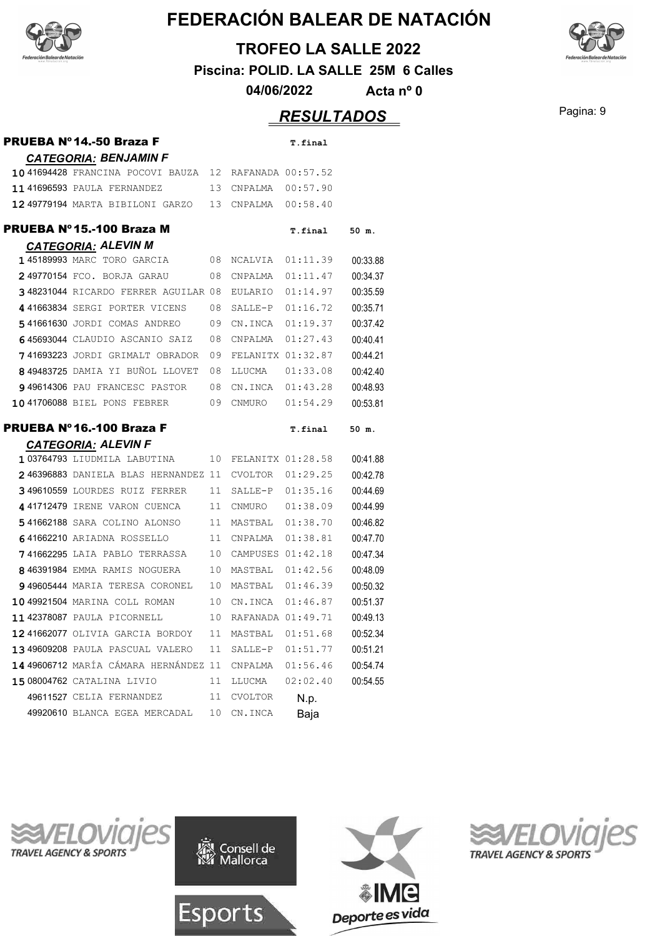

#### **TROFEO LA SALLE 2022**

**Piscina: POLID. LA SALLE 25M 6 Calles**

**04/06/2022 Acta nº 0**

## Pagina: 9 *RESULTADOS*

| <b>PRUEBA Nº 14.-50 Braza F</b>                           |          |                           | T.final      |          |
|-----------------------------------------------------------|----------|---------------------------|--------------|----------|
| <b>CATEGORIA: BENJAMIN F</b>                              |          |                           |              |          |
| 1041694428 FRANCINA POCOVI BAUZA 12 RAFANADA 00:57.52     |          |                           |              |          |
| 1141696593 PAULA FERNANDEZ                                |          | 13 CNPALMA 00:57.90       |              |          |
| 12 49779194 MARTA BIBILONI GARZO 13 CNPALMA 00:58.40      |          |                           |              |          |
| PRUEBA Nº15.-100 Braza M                                  |          |                           | T.final      | 50 m.    |
| <b>CATEGORIA: ALEVIN M</b>                                |          |                           |              |          |
| 145189993 MARC TORO GARCIA                                |          | 08 NCALVIA 01:11.39       |              | 00:33.88 |
| 249770154 FCO. BORJA GARAU 08 CNPALMA 01:11.47            |          |                           |              | 00:34.37 |
| 348231044 RICARDO FERRER AGUILAR 08 EULARIO 01:14.97      |          |                           |              | 00:35.59 |
| 441663834 SERGI PORTER VICENS 08 SALLE-P 01:16.72         |          |                           |              | 00:35.71 |
| 541661630 JORDI COMAS ANDREO                              |          | 09 CN.INCA 01:19.37       |              | 00:37.42 |
| 645693044 CLAUDIO ASCANIO SAIZ 08 CNPALMA 01:27.43        |          |                           |              | 00:40.41 |
| 741693223 JORDI GRIMALT OBRADOR 09 FELANITX 01:32.87      |          |                           |              | 00:44.21 |
| 849483725 DAMIA YI BUÑOL LLOVET 08                        |          | LLUCMA  01:33.08          |              | 00:42.40 |
| 949614306 PAU FRANCESC PASTOR 08 CN.INCA 01:43.28         |          |                           |              | 00:48.93 |
| 1041706088 BIEL PONS FEBRER 09 CNMURO 01:54.29            |          |                           |              | 00:53.81 |
|                                                           |          |                           |              |          |
|                                                           |          |                           |              |          |
| PRUEBA Nº 16.-100 Braza F                                 |          |                           | T.final      | 50 m.    |
| <b>CATEGORIA: ALEVIN F</b>                                |          |                           |              |          |
| 103764793 LIUDMILA LABUTINA 10 FELANITX 01:28.58          |          |                           |              | 00:41.88 |
| 246396883 DANIELA BLAS HERNANDEZ 11 CVOLTOR 01:29.25      |          |                           |              | 00:42.78 |
| 349610559 LOURDES RUIZ FERRER 11 SALLE-P 01:35.16         |          |                           |              | 00:44.69 |
| 4 41712479 IRENE VARON CUENCA                             |          | 11 CNMURO 01:38.09        |              | 00:44.99 |
| 541662188 SARA COLINO ALONSO 11 MASTBAL 01:38.70          |          |                           |              | 00:46.82 |
| 641662210 ARIADNA ROSSELLO 11 CNPALMA 01:38.81            |          |                           |              | 00:47.70 |
| 741662295 LAIA PABLO TERRASSA 10 CAMPUSES 01:42.18        |          |                           |              | 00:47.34 |
| 846391984 EMMA RAMIS NOGUERA 10 MASTBAL 01:42.56          |          |                           |              | 00:48.09 |
| 949605444 MARIA TERESA CORONEL 10 MASTBAL 01:46.39        |          |                           |              | 00:50.32 |
| 10 49921504 MARINA COLL ROMAN 10 CN.INCA 01:46.87         |          |                           |              | 00:51.37 |
| 11 42378087 PAULA PICORNELL                               |          | 10 RAFANADA 01:49.71      |              | 00:49.13 |
| 12 41662077 OLIVIA GARCIA BORDOY                          | 11       | MASTBAL                   | 01:51.68     | 00:52.34 |
| 13 49609208 PAULA PASCUAL VALERO                          | 11       | SALLE-P                   | 01:51.77     | 00:51.21 |
| 14 49606712 MARÍA CÁMARA HERNÁNDEZ 11                     |          | CNPALMA                   | 01:56.46     | 00:54.74 |
| 15 08004762 CATALINA LIVIO                                | 11       | LLUCMA                    | 02:02.40     | 00:54.55 |
| 49611527 CELIA FERNANDEZ<br>49920610 BLANCA EGEA MERCADAL | 11<br>10 | <b>CVOLTOR</b><br>CN.INCA | N.p.<br>Baja |          |









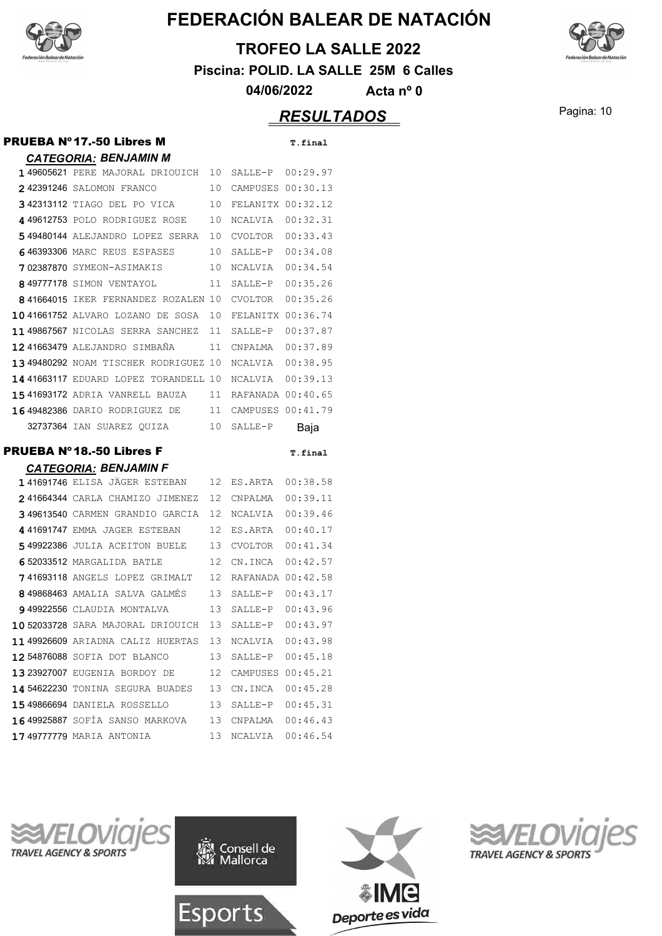

#### **TROFEO LA SALLE 2022**

**Piscina: POLID. LA SALLE 25M 6 Calles**

**04/06/2022 Acta nº 0**

## Pagina: 10 *RESULTADOS*

| <b>PRUEBA Nº 17.-50 Libres M</b>                     |    |                      | T.final  |
|------------------------------------------------------|----|----------------------|----------|
| <b>CATEGORIA: BENJAMIN M</b>                         |    |                      |          |
| 149605621 PERE MAJORAL DRIOUICH 10                   |    | SALLE-P 00:29.97     |          |
| 242391246 SALOMON FRANCO                             | 10 | CAMPUSES 00:30.13    |          |
| 342313112 TIAGO DEL PO VICA                          | 10 | FELANITX 00:32.12    |          |
| 449612753 POLO RODRIGUEZ ROSE                        | 10 | NCALVIA              | 00:32.31 |
| 549480144 ALEJANDRO LOPEZ SERRA                      | 10 | CVOLTOR              | 00:33.43 |
| 646393306 MARC REUS ESPASES                          | 10 | SALLE-P 00:34.08     |          |
| 702387870 SYMEON-ASIMAKIS                            | 10 | NCALVIA              | 00:34.54 |
| 849777178 SIMON VENTAYOL                             | 11 | SALLE-P              | 00:35.26 |
| 841664015 IKER FERNANDEZ ROZALEN 10                  |    | CVOLTOR              | 00:35.26 |
| 1041661752 ALVARO LOZANO DE SOSA                     | 10 | FELANITX 00:36.74    |          |
| 1149867567 NICOLAS SERRA SANCHEZ                     | 11 | SALLE-P              | 00:37.87 |
| 12 41663479 ALEJANDRO SIMBANA                        | 11 | CNPALMA              | 00:37.89 |
| 1349480292 NOAM TISCHER RODRIGUEZ 10                 |    | NCALVIA              | 00:38.95 |
| 14 41663117 EDUARD LOPEZ TORANDELL 10                |    | NCALVIA 00:39.13     |          |
| 1541693172 ADRIA VANRELL BAUZA                       | 11 | RAFANADA 00:40.65    |          |
| 16 49482386 DARIO RODRIGUEZ DE                       | 11 | CAMPUSES 00:41.79    |          |
| 32737364 IAN SUAREZ QUIZA                            | 10 | SALLE-P              | Baja     |
| PRUEBA Nº18.-50 Libres F                             |    |                      | T.final  |
| <b>CATEGORIA: BENJAMIN F</b>                         |    |                      |          |
| <b>141691746</b> ELISA JÄGER ESTEBAN                 | 12 | ES.ARTA 00:38.58     |          |
| 241664344 CARLA CHAMIZO JIMENEZ                      | 12 | CNPALMA              | 00:39.11 |
| 349613540 CARMEN GRANDIO GARCIA                      | 12 | NCALVIA              | 00:39.46 |
| 441691747 EMMA JAGER ESTEBAN                         | 12 | ES.ARTA              | 00:40.17 |
| 549922386 JULIA ACEITON BUELE                        | 13 | CVOLTOR              | 00:41.34 |
| 652033512 MARGALIDA BATLE                            | 12 | CN.INCA              | 00:42.57 |
| 741693118 ANGELS LOPEZ GRIMALT                       | 12 | RAFANADA 00:42.58    |          |
| 849868463 AMALIA SALVA GALMÉS                        | 13 | SALLE-P 00:43.17     |          |
| 949922556 CLAUDIA MONTALVA                           | 13 | SALLE-P              | 00:43.96 |
| 1052033728 SARA MAJORAL DRIOUICH 13 SALLE-P 00:43.97 |    |                      |          |
| 11 49926609 ARIADNA CALIZ HUERTAS 13                 |    | NCALVIA 00:43.98     |          |
| 12 54876088 SOFIA DOT BLANCO                         | 13 | SALLE-P 00:45.18     |          |
| 1323927007 EUGENIA BORDOY DE                         |    | 12 CAMPUSES 00:45.21 |          |
| 14 54622230 TONINA SEGURA BUADES                     |    | 13 CN.INCA 00:45.28  |          |
| <b>15 49866694</b> DANIELA ROSSELLO                  |    | 13 SALLE-P 00:45.31  |          |
| 16 49925887 SOFÍA SANSO MARKOVA 13 CNPALMA 00:46.43  |    |                      |          |
| <b>17 49777779</b> MARIA ANTONIA                     | 13 | NCALVIA 00:46.54     |          |
|                                                      |    |                      |          |









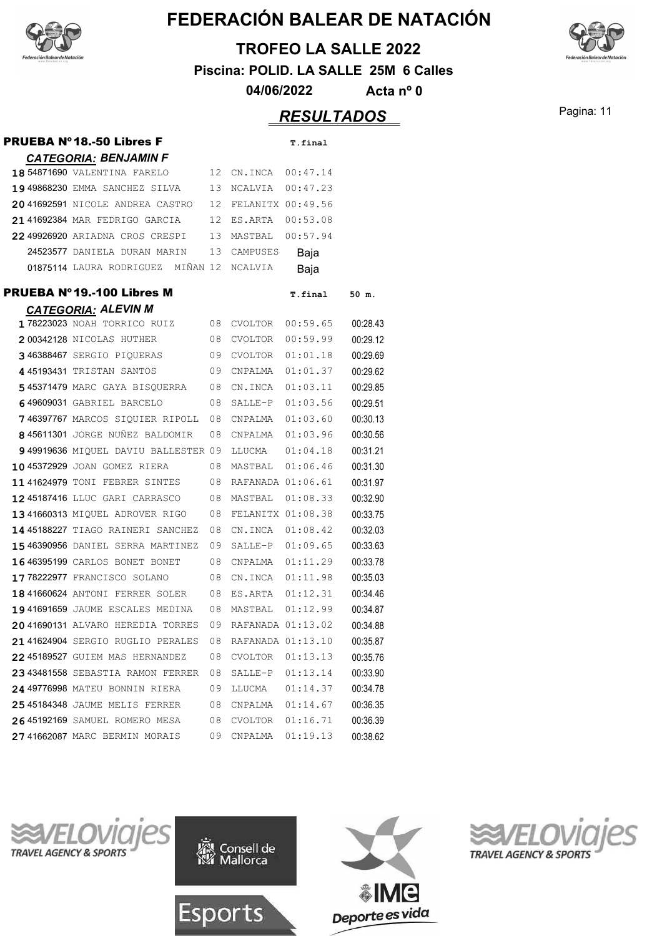

#### **TROFEO LA SALLE 2022**

**Piscina: POLID. LA SALLE 25M 6 Calles**

**04/06/2022 Acta nº 0**

## Pagina: 11 *RESULTADOS*

| <b>PRUEBA Nº18.-50 Libres F</b>                |    |                   | T.final  |          |
|------------------------------------------------|----|-------------------|----------|----------|
| <b>CATEGORIA: BENJAMIN F</b>                   |    |                   |          |          |
| 18 54871690 VALENTINA FARELO                   | 12 | CN.INCA 00:47.14  |          |          |
| 19 49868230 EMMA SANCHEZ SILVA                 | 13 | NCALVIA           | 00:47.23 |          |
| 20 41692591 NICOLE ANDREA CASTRO               | 12 | FELANITX 00:49.56 |          |          |
| 21 41692384 MAR FEDRIGO GARCIA                 | 12 | ES.ARTA           | 00:53.08 |          |
| 22 49926920 ARIADNA CROS CRESPI                | 13 | MASTBAL           | 00:57.94 |          |
| 24523577 DANIELA DURAN MARIN                   | 13 | CAMPUSES          | Baja     |          |
| 01875114 LAURA RODRIGUEZ MIÑAN 12              |    | NCALVIA           | Baja     |          |
| <b>PRUEBA Nº19.-100 Libres M</b>               |    |                   | T.final  | 50 m.    |
| <b>CATEGORIA: ALEVIN M</b>                     |    |                   |          |          |
| 178223023 NOAH TORRICO RUIZ<br>$\overline{08}$ |    | CVOLTOR           | 00:59.65 | 00:28.43 |
| 200342128 NICOLAS HUTHER                       | 08 | CVOLTOR           | 00:59.99 | 00:29.12 |
| 346388467 SERGIO PIQUERAS                      | 09 | CVOLTOR           | 01:01.18 | 00:29.69 |
| 4 45193431 TRISTAN SANTOS                      | 09 | CNPALMA           | 01:01.37 | 00:29.62 |
| 545371479 MARC GAYA BISQUERRA                  | 08 | CN.INCA           | 01:03.11 | 00:29.85 |
| 649609031 GABRIEL BARCELO                      | 08 | SALLE-P           | 01:03.56 | 00:29.51 |
| 746397767 MARCOS SIOUIER RIPOLL                | 08 | CNPALMA           | 01:03.60 | 00:30.13 |
| 845611301 JORGE NUÑEZ BALDOMIR                 | 08 | CNPALMA           | 01:03.96 | 00:30.56 |
| 949919636 MIQUEL DAVIU BALLESTER 09            |    | LLUCMA            | 01:04.18 | 00:31.21 |
| 10 45372929 JOAN GOMEZ RIERA                   | 08 | MASTBAL 01:06.46  |          | 00:31.30 |
| <b>1141624979 TONI FEBRER SINTES</b>           | 08 | RAFANADA 01:06.61 |          | 00:31.97 |
| 1245187416 LLUC GARI CARRASCO                  | 08 | MASTBAL           | 01:08.33 | 00:32.90 |
| 1341660313 MIQUEL ADROVER RIGO                 | 08 | FELANITX 01:08.38 |          | 00:33.75 |
| 14 45188227 TIAGO RAINERI SANCHEZ              | 08 | CN.INCA           | 01:08.42 | 00:32.03 |
| 1546390956 DANIEL SERRA MARTINEZ               | 09 | SALLE-P 01:09.65  |          | 00:33.63 |
| 1646395199 CARLOS BONET BONET                  | 08 | CNPALMA           | 01:11.29 | 00:33.78 |
| 17 78222977 FRANCISCO SOLANO                   | 08 | CN.INCA           | 01:11.98 | 00:35.03 |
| <b>18 41660624</b> ANTONI FERRER SOLER         | 08 | ES.ARTA           | 01:12.31 | 00:34.46 |
| 1941691659 JAUME ESCALES MEDINA                | 08 | MASTBAL           | 01:12.99 | 00:34.87 |
| 2041690131 ALVARO HEREDIA TORRES               | 09 | RAFANADA 01:13.02 |          | 00:34.88 |
| 2141624904 SERGIO RUGLIO PERALES               | 08 | RAFANADA 01:13.10 |          | 00:35.87 |
| 22 45189527 GUIEM MAS HERNANDEZ                | 08 | CVOLTOR           | 01:13.13 | 00:35.76 |
| 2343481558 SEBASTIA RAMON FERRER               | 08 | SALLE-P           | 01:13.14 | 00:33.90 |
| 24 49776998 MATEU BONNIN RIERA                 | 09 | LLUCMA            | 01:14.37 | 00:34.78 |
| 25 45184348 JAUME MELIS FERRER                 | 08 | CNPALMA           | 01:14.67 | 00:36.35 |
| 26 45192169 SAMUEL ROMERO MESA                 | 08 | CVOLTOR           | 01:16.71 | 00:36.39 |
| 2741662087 MARC BERMIN MORAIS                  | 09 | CNPALMA           | 01:19.13 | 00:38.62 |









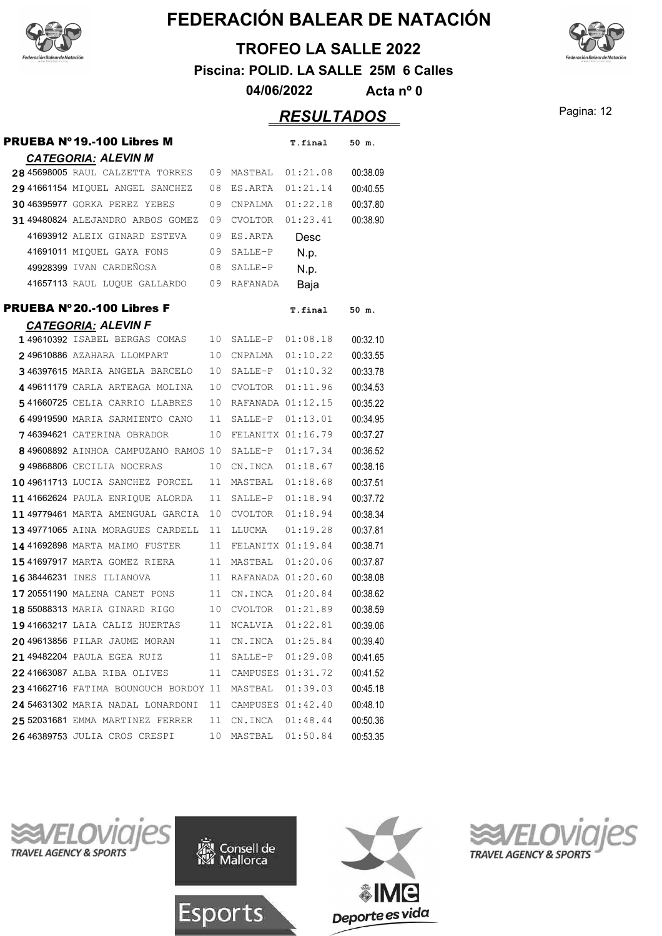

#### **TROFEO LA SALLE 2022**

**Piscina: POLID. LA SALLE 25M 6 Calles**

**04/06/2022 Acta nº 0**

## Pagina: 12 *RESULTADOS*

| PRUEBA Nº 19.-100 Libres M           |    |                     | T.final  | 50 m.    |
|--------------------------------------|----|---------------------|----------|----------|
| <b>CATEGORIA: ALEVIN M</b>           |    |                     |          |          |
| 28 45698005 RAUL CALZETTA TORRES     | 09 | MASTBAL             | 01:21.08 | 00:38.09 |
| 29 41661154 MIQUEL ANGEL SANCHEZ     | 08 | ES.ARTA             | 01:21.14 | 00:40.55 |
| 30 46395977 GORKA PEREZ YEBES        | 09 | CNPALMA             | 01:22.18 | 00:37.80 |
| 31 49480824 ALEJANDRO ARBOS GOMEZ    | 09 | CVOLTOR             | 01:23.41 | 00:38.90 |
| 41693912 ALEIX GINARD ESTEVA         | 09 | ES.ARTA             | Desc     |          |
| 41691011 MIQUEL GAYA FONS            | 09 | SALLE-P             | N.p.     |          |
| 49928399 IVAN CARDEÑOSA              | 08 | SALLE-P             | N.p.     |          |
| 41657113 RAUL LUQUE GALLARDO         | 09 | RAFANADA            | Baja     |          |
| PRUEBA Nº20.-100 Libres F            |    |                     | T.final  | 50 m.    |
| <b>CATEGORIA: ALEVIN F</b>           |    |                     |          |          |
| 149610392 ISABEL BERGAS COMAS        | 10 | SALLE-P             | 01:08.18 | 00:32.10 |
| 249610886 AZAHARA LLOMPART           | 10 | CNPALMA             | 01:10.22 | 00:33.55 |
| 346397615 MARIA ANGELA BARCELO       | 10 | SALLE-P             | 01:10.32 | 00:33.78 |
| 449611179 CARLA ARTEAGA MOLINA       | 10 | CVOLTOR             | 01:11.96 | 00:34.53 |
| 541660725 CELIA CARRIO LLABRES       | 10 | RAFANADA 01:12.15   |          | 00:35.22 |
| 649919590 MARIA SARMIENTO CANO       | 11 | SALLE-P             | 01:13.01 | 00:34.95 |
| <b>746394621</b> CATERINA OBRADOR    | 10 | FELANITX 01:16.79   |          | 00:37.27 |
| 849608892 AINHOA CAMPUZANO RAMOS     | 10 | SALLE-P             | 01:17.34 | 00:36.52 |
| 949868806 CECILIA NOCERAS            | 10 | CN.INCA             | 01:18.67 | 00:38.16 |
| 1049611713 LUCIA SANCHEZ PORCEL      | 11 | MASTBAL             | 01:18.68 | 00:37.51 |
| 1141662624 PAULA ENRIQUE ALORDA      | 11 | SALLE-P             | 01:18.94 | 00:37.72 |
| 1149779461 MARTA AMENGUAL GARCIA     | 10 | CVOLTOR             | 01:18.94 | 00:38.34 |
| 1349771065 AINA MORAGUES CARDELL     | 11 | LLUCMA              | 01:19.28 | 00:37.81 |
| 14 41692898 MARTA MAIMO FUSTER       | 11 | FELANITX 01:19.84   |          | 00:38.71 |
| 15 41697917 MARTA GOMEZ RIERA        | 11 | MASTBAL             | 01:20.06 | 00:37.87 |
| 16 38446231 INES ILIANOVA            | 11 | RAFANADA 01:20.60   |          | 00:38.08 |
| 17 20551190 MALENA CANET PONS        | 11 | CN.INCA 01:20.84    |          | 00:38.62 |
| 18 55088313 MARIA GINARD RIGO        | 10 | CVOLTOR 01:21.89    |          | 00:38.59 |
| 1941663217 LAIA CALIZ HUERTAS        |    | 11 NCALVIA 01:22.81 |          | 00:39.06 |
| 2049613856 PILAR JAUME MORAN         | 11 | CN.INCA  01:25.84   |          | 00:39.40 |
| 21 49482204 PAULA EGEA RUIZ          | 11 | SALLE-P             | 01:29.08 | 00:41.65 |
| 2241663087 ALBA RIBA OLIVES          | 11 | CAMPUSES 01:31.72   |          | 00:41.52 |
| 2341662716 FATIMA BOUNOUCH BORDOY 11 |    | MASTBAL             | 01:39.03 | 00:45.18 |
| 24 54631302 MARIA NADAL LONARDONI    | 11 | CAMPUSES 01:42.40   |          | 00:48.10 |
| 25 52031681 EMMA MARTINEZ FERRER     | 11 | CN.INCA 01:48.44    |          | 00:50.36 |
| 2646389753 JULIA CROS CRESPI         | 10 | MASTBAL             | 01:50.84 | 00:53.35 |









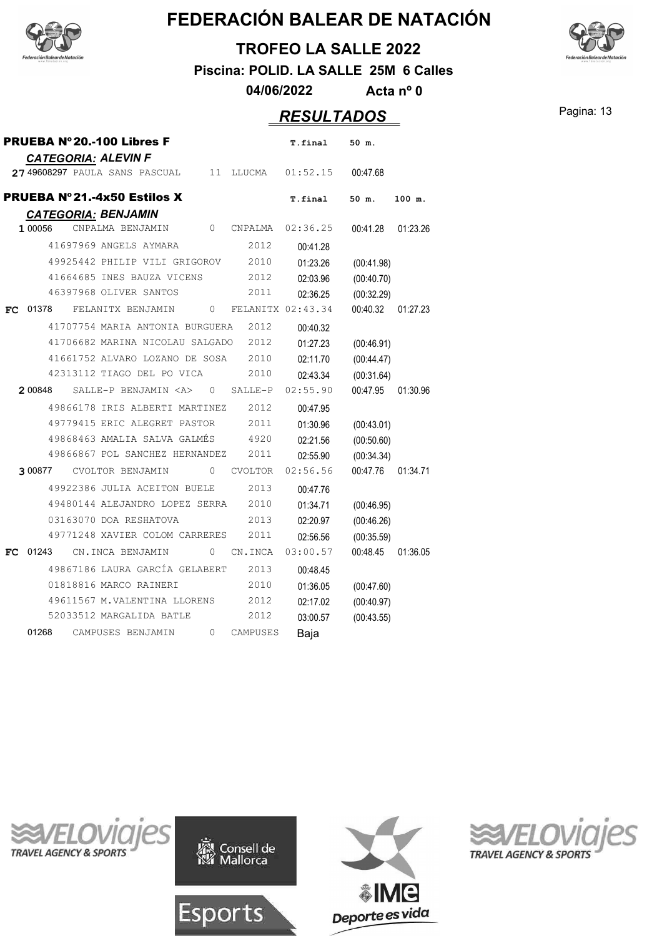



**Piscina: POLID. LA SALLE 25M 6 Calles**

**04/06/2022 Acta nº 0**

## Pagina: 13 *RESULTADOS*

| PRUEBA Nº20.-100 Libres F                                  |                   | T.final              | 50 m.                  |          |
|------------------------------------------------------------|-------------------|----------------------|------------------------|----------|
| <b>CATEGORIA: ALEVIN F</b>                                 |                   |                      |                        |          |
| 11<br>2749608297 PAULA SANS PASCUAL                        | LLUCMA            | 01:52.15             | 00:47.68               |          |
| PRUEBA Nº21.-4x50 Estilos X                                |                   | T.final              | 50 m.                  | 100 m.   |
| <b>CATEGORIA: BENJAMIN</b>                                 |                   |                      |                        |          |
| $\Omega$<br>1 00056<br>CNPALMA BENJAMIN                    | CNPALMA           | 02:36.25             | 00:41.28               | 01:23.26 |
| 41697969 ANGELS AYMARA                                     | 2012              | 00:41.28             |                        |          |
| 49925442 PHILIP VILI GRIGOROV                              | 2010              | 01:23.26             | (00:41.98)             |          |
| 41664685 INES BAUZA VICENS                                 | 2012              | 02:03.96             | (00:40.70)             |          |
| 46397968 OLIVER SANTOS                                     | 2011              | 02:36.25             | (00:32.29)             |          |
| FELANITX BENJAMIN<br>$\Omega$<br>01378<br>FC.              | FELANITX 02:43.34 |                      | 00:40.32               | 01:27.23 |
| 41707754 MARIA ANTONIA BURGUERA                            | 2012              | 00:40.32             |                        |          |
| 41706682 MARINA NICOLAU SALGADO                            | 2012              | 01:27.23             | (00:46.91)             |          |
| 41661752 ALVARO LOZANO DE SOSA                             | 2010              | 02:11.70             | (00:44.47)             |          |
| 42313112 TIAGO DEL PO VICA                                 | 2010              | 02:43.34             | (00:31.64)             |          |
| 2 00848<br>SALLE-P BENJAMIN <a><br/><math>\circ</math></a> | SALLE-P           | 02:55.90             | 00:47.95               | 01:30.96 |
| 49866178 IRIS ALBERTI MARTINEZ                             | 2012              | 00:47.95             |                        |          |
| 49779415 ERIC ALEGRET PASTOR                               | 2011              | 01:30.96             | (00:43.01)             |          |
| 49868463 AMALIA SALVA GALMÉS                               | 4920              | 02:21.56             | (00:50.60)             |          |
| 49866867 POL SANCHEZ HERNANDEZ                             | 2011              | 02:55.90             | (00:34.34)             |          |
| CVOLTOR BENJAMIN<br>$\Omega$<br>3 00877                    | <b>CVOLTOR</b>    | 02:56.56             | 00:47.76               | 01:34.71 |
| 49922386 JULIA ACEITON BUELE                               | 2013              |                      |                        |          |
| 49480144 ALEJANDRO LOPEZ SERRA                             | 2010              | 00:47.76             |                        |          |
| 03163070 DOA RESHATOVA                                     | 2013              | 01:34.71             | (00:46.95)             |          |
| 49771248 XAVIER COLOM CARRERES                             | 2011              | 02:20.97             | (00:46.26)             |          |
| 01243<br>CN.INCA BENJAMIN<br>$\Omega$                      | CN.INCA           | 02:56.56<br>03:00.57 | (00:35.59)<br>00:48.45 | 01:36.05 |
| FC.                                                        |                   |                      |                        |          |
| 49867186 LAURA GARCÍA GELABERT                             | 2013              | 00:48.45             |                        |          |
| 01818816 MARCO RAINERI                                     | 2010              | 01:36.05             | (00:47.60)             |          |
| 49611567 M.VALENTINA LLORENS                               | 2012              | 02:17.02             | (00:40.97)             |          |
| 52033512 MARGALIDA BATLE                                   | 2012              | 03:00.57             | (00:43.55)             |          |
| 01268<br>CAMPUSES BENJAMIN<br>0                            | CAMPUSES          | Baja                 |                        |          |









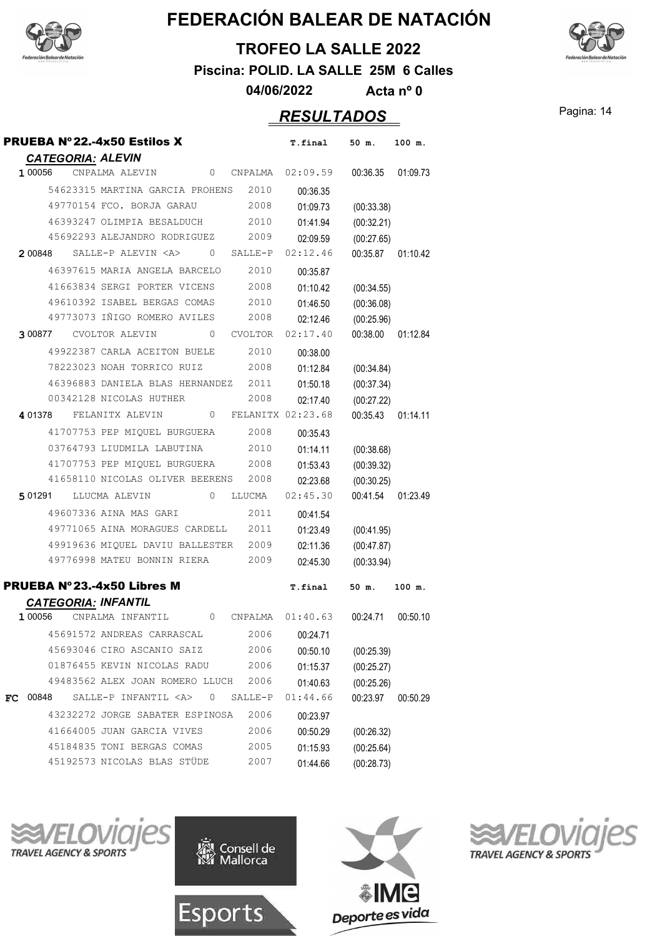



**TROFEO LA SALLE 2022**

**Piscina: POLID. LA SALLE 25M 6 Calles**

**04/06/2022 Acta nº 0**

## Pagina: 14 *RESULTADOS*

|    | <b>PRUEBA Nº 22.-4x50 Estilos X</b>                               | T.final  | 50 m.      | 100 m.            |
|----|-------------------------------------------------------------------|----------|------------|-------------------|
|    | <b>CATEGORIA: ALEVIN</b>                                          |          |            |                   |
|    | 100056 CNPALMA ALEVIN<br>0 CNPALMA 02:09.59                       |          |            | 00:36.35 01:09.73 |
|    | 54623315 MARTINA GARCIA PROHENS 2010                              | 00:36.35 |            |                   |
|    | 49770154 FCO. BORJA GARAU<br>2008                                 | 01:09.73 | (00:33.38) |                   |
|    | 46393247 OLIMPIA BESALDUCH<br>2010                                | 01:41.94 | (00:32.21) |                   |
|    | 45692293 ALEJANDRO RODRIGUEZ 2009                                 | 02:09.59 | (00:27.65) |                   |
|    | $200848$ SALLE-P ALEVIN $\langle$ A $\rangle$ 0 SALLE-P           | 02:12.46 | 00:35.87   | 01:10.42          |
|    | 46397615 MARIA ANGELA BARCELO<br>2010                             | 00:35.87 |            |                   |
|    | 41663834 SERGI PORTER VICENS<br>2008                              | 01:10.42 | (00:34.55) |                   |
|    | 49610392 ISABEL BERGAS COMAS 2010                                 | 01:46.50 | (00:36.08) |                   |
|    | 49773073 IÑIGO ROMERO AVILES<br>2008                              | 02:12.46 | (00:25.96) |                   |
|    | 300877 CVOLTOR ALEVIN 0<br>CVOLTOR                                | 02:17.40 | 00:38.00   | 01:12.84          |
|    | 49922387 CARLA ACEITON BUELE<br>2010                              | 00:38.00 |            |                   |
|    | 78223023 NOAH TORRICO RUIZ<br>2008                                | 01:12.84 | (00:34.84) |                   |
|    | 46396883 DANIELA BLAS HERNANDEZ 2011                              | 01:50.18 | (00:37.34) |                   |
|    | 2008<br>00342128 NICOLAS HUTHER                                   | 02:17.40 | (00:27.22) |                   |
|    | 4 01378 FELANITX ALEVIN 0 FELANITX 02:23.68                       |          | 00:35.43   | 01:14.11          |
|    | 41707753 PEP MIQUEL BURGUERA 2008                                 | 00:35.43 |            |                   |
|    | 03764793 LIUDMILA LABUTINA<br>2010                                | 01:14.11 | (00:38.68) |                   |
|    | 41707753 PEP MIQUEL BURGUERA 2008                                 | 01:53.43 | (00:39.32) |                   |
|    | 41658110 NICOLAS OLIVER BEERENS 2008                              | 02:23.68 | (00:30.25) |                   |
|    | 501291 LLUCMA ALEVIN 0 LLUCMA                                     | 02:45.30 | 00:41.54   | 01:23.49          |
|    | 49607336 AINA MAS GARI<br>2011                                    | 00:41.54 |            |                   |
|    | 49771065 AINA MORAGUES CARDELL 2011                               | 01:23.49 | (00:41.95) |                   |
|    | 49919636 MIQUEL DAVIU BALLESTER 2009                              | 02:11.36 | (00:47.87) |                   |
|    | 49776998 MATEU BONNIN RIERA<br>2009                               | 02:45.30 | (00:33.94) |                   |
|    | PRUEBA Nº 23.-4x50 Libres M                                       | T.final  | 50 m.      | $100$ m.          |
|    | <b>CATEGORIA: INFANTIL</b>                                        |          |            |                   |
|    | 0 CNPALMA $01:40.63$ 00:24.71<br>1 00056<br>CNPALMA INFANTIL      |          |            | 00:50.10          |
|    | 45691572 ANDREAS CARRASCAL<br>2006                                | 00:24.71 |            |                   |
|    | 45693046 CIRO ASCANIO SAIZ<br>2006                                | 00:50.10 | (00:25.39) |                   |
|    | 01876455 KEVIN NICOLAS RADU<br>2006                               | 01:15.37 | (00:25.27) |                   |
|    | 49483562 ALEX JOAN ROMERO LLUCH<br>2006                           | 01:40.63 | (00:25.26) |                   |
| FC | SALLE-P INFANTIL <a><br/>00848<br/>0<br/><math>SALLE-P</math></a> | 01:44.66 | 00:23.97   | 00:50.29          |
|    | 43232272 JORGE SABATER ESPINOSA<br>2006                           | 00:23.97 |            |                   |
|    | 41664005 JUAN GARCIA VIVES<br>2006                                | 00:50.29 | (00:26.32) |                   |
|    | 45184835 TONI BERGAS COMAS<br>2005                                | 01:15.93 | (00:25.64) |                   |
|    | 45192573 NICOLAS BLAS STÜDE<br>2007                               | 01:44.66 | (00:28.73) |                   |







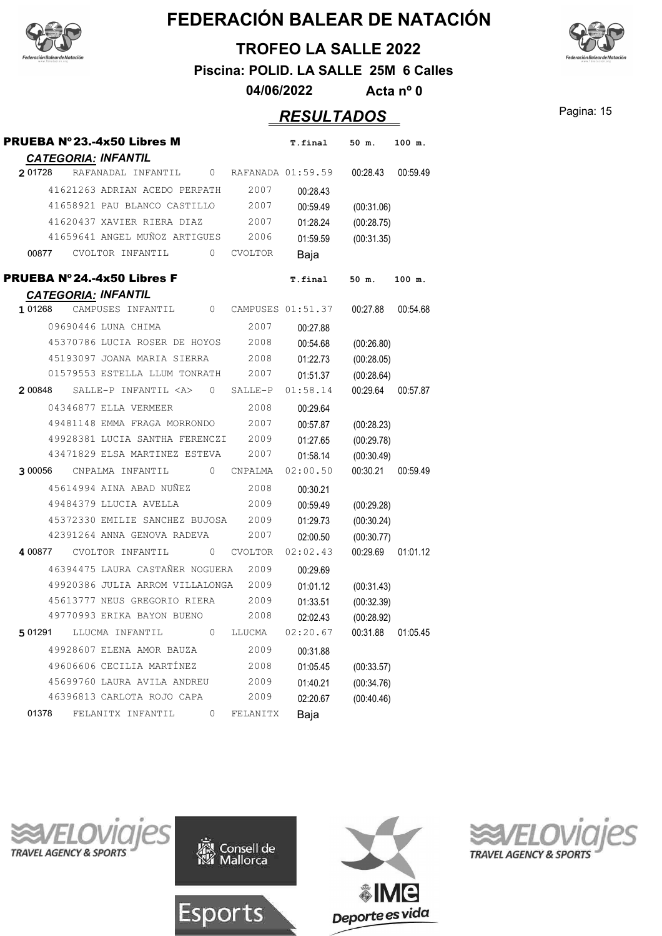



**Piscina: POLID. LA SALLE 25M 6 Calles**

**04/06/2022 Acta nº 0**

## Pagina: 15 *RESULTADOS*

| PRUEBA Nº23.-4x50 Libres M |                            |                                 |   |                   | T.final  | 50 m.      | 100 m.   |
|----------------------------|----------------------------|---------------------------------|---|-------------------|----------|------------|----------|
| 2 01728                    | <b>CATEGORIA: INFANTIL</b> | RAFANADAL INFANTIL              | 0 | RAFANADA 01:59.59 |          | 00:28.43   | 00:59.49 |
|                            |                            | 41621263 ADRIAN ACEDO PERPATH   |   | 2007              | 00:28.43 |            |          |
|                            |                            | 41658921 PAU BLANCO CASTILLO    |   | 2007              | 00:59.49 | (00:31.06) |          |
|                            |                            | 41620437 XAVIER RIERA DIAZ      |   | 2007              | 01:28.24 | (00:28.75) |          |
|                            |                            | 41659641 ANGEL MUÑOZ ARTIGUES   |   | 2006              | 01:59.59 | (00:31.35) |          |
| 00877                      | CVOLTOR INFANTIL           |                                 | 0 | CVOLTOR           | Baja     |            |          |
| PRUEBA Nº24.-4x50 Libres F |                            |                                 |   |                   | T.final  | 50 m.      | 100 m.   |
|                            | <b>CATEGORIA: INFANTIL</b> |                                 |   |                   |          |            |          |
| 1 01268                    | CAMPUSES INFANTIL          |                                 | 0 | CAMPUSES 01:51.37 |          | 00:27.88   | 00:54.68 |
|                            | 09690446 LUNA CHIMA        |                                 |   | 2007              | 00:27.88 |            |          |
|                            |                            | 45370786 LUCIA ROSER DE HOYOS   |   | 2008              | 00:54.68 | (00:26.80) |          |
|                            |                            | 45193097 JOANA MARIA SIERRA     |   | 2008              | 01:22.73 | (00:28.05) |          |
|                            |                            | 01579553 ESTELLA LLUM TONRATH   |   | 2007              | 01:51.37 | (00:28.64) |          |
| 2 00848                    |                            | SALLE-P INFANTIL <a></a>        | 0 | SALLE-P           | 01:58.14 | 00:29.64   | 00:57.87 |
|                            | 04346877 ELLA VERMEER      |                                 |   | 2008              | 00:29.64 |            |          |
|                            |                            | 49481148 EMMA FRAGA MORRONDO    |   | 2007              | 00:57.87 | (00:28.23) |          |
|                            |                            | 49928381 LUCIA SANTHA FERENCZI  |   | 2009              | 01:27.65 | (00:29.78) |          |
|                            |                            | 43471829 ELSA MARTINEZ ESTEVA   |   | 2007              | 01:58.14 | (00:30.49) |          |
| 3 00056                    | CNPALMA INFANTIL           |                                 | 0 | CNPALMA           | 02:00.50 | 00:30.21   | 00:59.49 |
|                            |                            | 45614994 AINA ABAD NUÑEZ        |   | 2008              | 00:30.21 |            |          |
|                            |                            | 49484379 LLUCIA AVELLA          |   | 2009              | 00:59.49 | (00:29.28) |          |
|                            |                            | 45372330 EMILIE SANCHEZ BUJOSA  |   | 2009              | 01:29.73 | (00:30.24) |          |
|                            |                            | 42391264 ANNA GENOVA RADEVA     |   | 2007              | 02:00.50 | (00:30.77) |          |
| 4 00877                    | CVOLTOR INFANTIL           |                                 | 0 | <b>CVOLTOR</b>    | 02:02.43 | 00:29.69   | 01:01.12 |
|                            |                            | 46394475 LAURA CASTAÑER NOGUERA |   | 2009              | 00:29.69 |            |          |
|                            |                            | 49920386 JULIA ARROM VILLALONGA |   | 2009              | 01:01.12 | (00:31.43) |          |
|                            |                            | 45613777 NEUS GREGORIO RIERA    |   | 2009              | 01:33.51 | (00:32.39) |          |
|                            |                            | 49770993 ERIKA BAYON BUENO      |   | 2008              | 02:02.43 | (00:28.92) |          |
| 5 01291                    | LLUCMA INFANTIL            |                                 | 0 | LLUCMA            | 02:20.67 | 00:31.88   | 01:05.45 |
|                            |                            | 49928607 ELENA AMOR BAUZA       |   | 2009              | 00:31.88 |            |          |
|                            |                            | 49606606 CECILIA MARTÍNEZ       |   | 2008              | 01:05.45 | (00:33.57) |          |
|                            |                            | 45699760 LAURA AVILA ANDREU     |   | 2009              | 01:40.21 | (00:34.76) |          |
|                            |                            | 46396813 CARLOTA ROJO CAPA      |   | 2009              | 02:20.67 | (00:40.46) |          |
| 01378                      | FELANITX INFANTIL          |                                 | 0 | FELANITX          | Baja     |            |          |









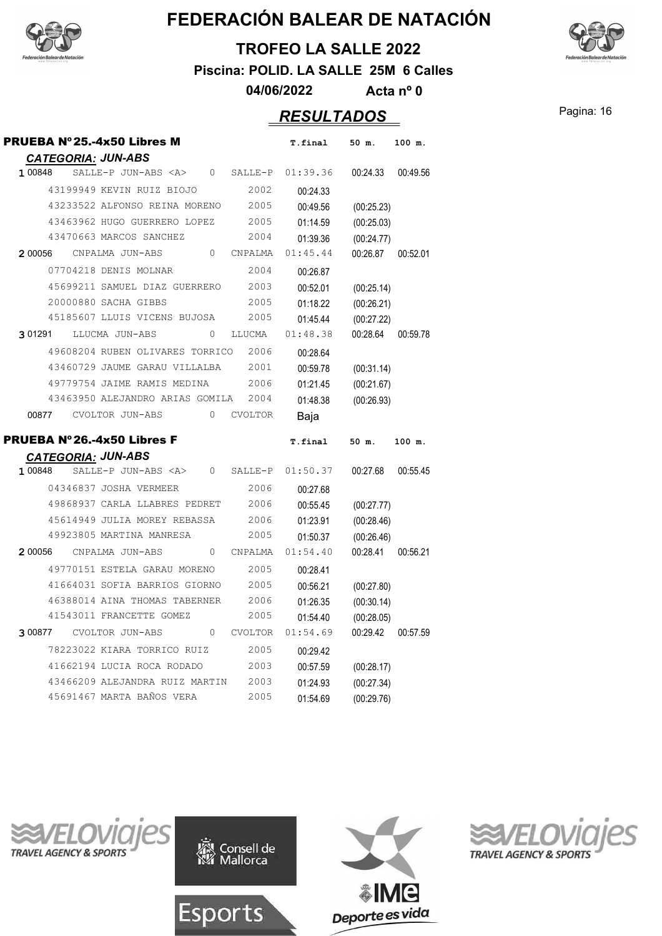



**TROFEO LA SALLE 2022**

**Piscina: POLID. LA SALLE 25M 6 Calles**

**04/06/2022 Acta nº 0**

#### Pagina: 16 *RESULTADOS*

| PRUEBA Nº25.-4x50 Libres M                                                  | T.final              | 50 m.                    | 100 m.   |
|-----------------------------------------------------------------------------|----------------------|--------------------------|----------|
| <b>CATEGORIA: JUN-ABS</b>                                                   |                      |                          |          |
| 1 00848<br>SALLE-P JUN-ABS <a><br/><math>\circ</math><br/>SALLE-P</a>       | 01:39.36             | 00:24.33                 | 00:49.56 |
| 43199949 KEVIN RUIZ BIOJO<br>2002                                           | 00:24.33             |                          |          |
| 43233522 ALFONSO REINA MORENO<br>2005                                       | 00:49.56             | (00:25.23)               |          |
| 43463962 HUGO GUERRERO LOPEZ<br>2005                                        | 01:14.59             | (00:25.03)               |          |
| 43470663 MARCOS SANCHEZ<br>2004                                             | 01:39.36             | (00:24.77)               |          |
| CNPALMA JUN-ABS<br>0<br>2 00056<br>CNPALMA                                  | 01:45.44             | 00:26.87                 | 00:52.01 |
| 07704218 DENIS MOLNAR<br>2004                                               | 00:26.87             |                          |          |
| 45699211 SAMUEL DIAZ GUERRERO<br>2003                                       | 00:52.01             | (00:25.14)               |          |
| 20000880 SACHA GIBBS<br>2005                                                | 01:18.22             | (00:26.21)               |          |
| 45185607 LLUIS VICENS BUJOSA<br>2005                                        | 01:45.44             | (00:27.22)               |          |
| 3 01291<br>LLUCMA JUN-ABS<br>$\Omega$<br>LLUCMA                             | 01:48.38             | 00:28.64                 | 00:59.78 |
| 49608204 RUBEN OLIVARES TORRICO<br>2006                                     | 00:28.64             |                          |          |
| 43460729 JAUME GARAU VILLALBA<br>2001                                       | 00:59.78             | (00:31.14)               |          |
| 49779754 JAIME RAMIS MEDINA<br>2006                                         | 01:21.45             | (00:21.67)               |          |
| 43463950 ALEJANDRO ARIAS GOMILA<br>2004                                     | 01:48.38             | (00:26.93)               |          |
| 00877<br>CVOLTOR JUN-ABS<br>$\Omega$<br><b>CVOLTOR</b>                      | Baja                 |                          |          |
|                                                                             |                      |                          |          |
|                                                                             |                      |                          |          |
| PRUEBA Nº26.-4x50 Libres F                                                  | T.final              | 50 m.                    | 100 m.   |
| <b>CATEGORIA: JUN-ABS</b>                                                   |                      |                          |          |
| 1 00848<br>SALLE-P JUN-ABS <a><br/>0<br/>SALLE-P</a>                        | 01:50.37             | 00:27.68                 | 00:55.45 |
| 04346837 JOSHA VERMEER<br>2006                                              | 00:27.68             |                          |          |
| 49868937 CARLA LLABRES PEDRET<br>2006                                       | 00:55.45             | (00:27.77)               |          |
| 45614949 JULIA MOREY REBASSA<br>2006                                        | 01:23.91             | (00:28.46)               |          |
| 49923805 MARTINA MANRESA<br>2005                                            | 01:50.37             | (00:26.46)               |          |
| 2 00056<br>CNPALMA JUN-ABS<br>$\Omega$<br>CNPALMA                           | 01:54.40             | 00:28.41                 | 00:56.21 |
| 49770151 ESTELA GARAU MORENO<br>2005                                        | 00:28.41             |                          |          |
| 41664031 SOFIA BARRIOS GIORNO<br>2005                                       | 00:56.21             | (00:27.80)               |          |
| 46388014 AINA THOMAS TABERNER<br>2006                                       | 01:26.35             | (00:30.14)               |          |
| 41543011 FRANCETTE GOMEZ<br>2005                                            | 01:54.40             | (00:28.05)               |          |
| <b>CVOLTOR JUN-ABS</b><br>$\Omega$<br><b>CVOLTOR</b><br>3 00877             | 01:54.69             | 00:29.42                 | 00:57.59 |
| 78223022 KIARA TORRICO RUIZ<br>2005                                         | 00:29.42             |                          |          |
| 41662194 LUCIA ROCA RODADO<br>2003                                          | 00:57.59             | (00:28.17)               |          |
| 43466209 ALEJANDRA RUIZ MARTIN<br>2003<br>45691467 MARTA BAÑOS VERA<br>2005 | 01:24.93<br>01:54.69 | (00:27.34)<br>(00:29.76) |          |







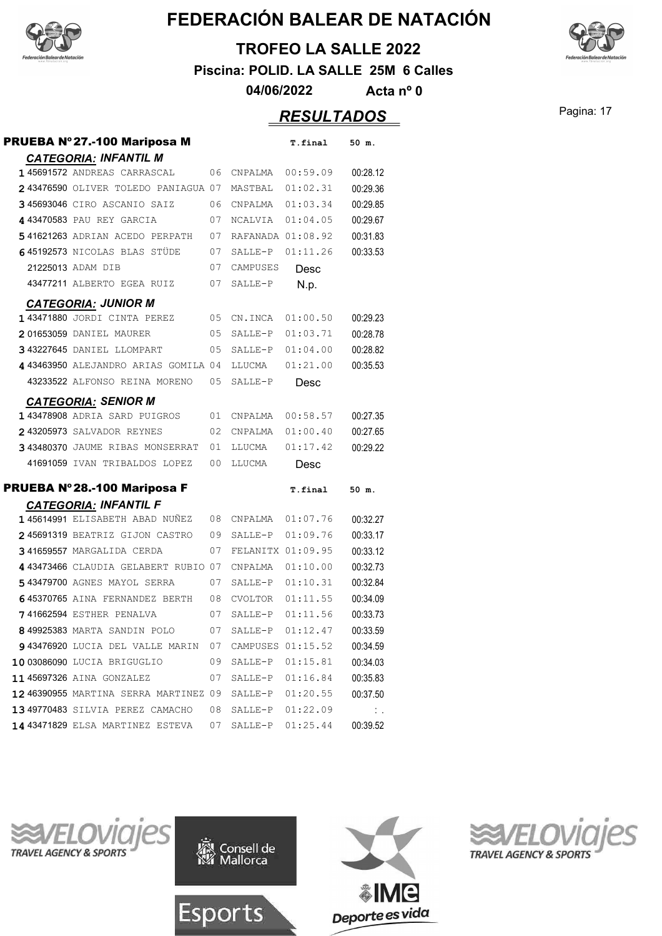



**Piscina: POLID. LA SALLE 25M 6 Calles**

**04/06/2022 Acta nº 0**

## Pagina: 17 *RESULTADOS*

| PRUEBA Nº27.-100 Mariposa M                                |          |                   | T.final              | 50 m.                |
|------------------------------------------------------------|----------|-------------------|----------------------|----------------------|
| <b>CATEGORIA: INFANTIL M</b>                               |          |                   |                      |                      |
| 145691572 ANDREAS CARRASCAL                                | 06       | CNPALMA           | 00:59.09             | 00:28.12             |
| 243476590 OLIVER TOLEDO PANIAGUA 07                        |          | MASTBAL           | 01:02.31             | 00:29.36             |
| 345693046 CIRO ASCANIO SAIZ                                | 06       | CNPALMA           | 01:03.34             | 00:29.85             |
| 443470583 PAU REY GARCIA                                   | 07       | <b>NCALVIA</b>    | 01:04.05             | 00:29.67             |
| 541621263 ADRIAN ACEDO PERPATH                             | 07       | RAFANADA 01:08.92 |                      | 00:31.83             |
| 645192573 NICOLAS BLAS STÜDE                               | 07       | SALLE-P           | 01:11.26             | 00:33.53             |
| 21225013 ADAM DIB                                          | 07       | CAMPUSES          | Desc                 |                      |
| 43477211 ALBERTO EGEA RUIZ                                 | 07       | SALLE-P           | N.p.                 |                      |
|                                                            |          |                   |                      |                      |
| <b>CATEGORIA: JUNIOR M</b><br>143471880 JORDI CINTA PEREZ  | 05       | CN.INCA           | 01:00.50             | 00:29.23             |
| 201653059 DANIEL MAURER                                    | 05       | SALLE-P           | 01:03.71             | 00:28.78             |
| 343227645 DANIEL LLOMPART                                  | 05       | SALLE-P           | 01:04.00             | 00:28.82             |
| 4 43463950 ALEJANDRO ARIAS GOMILA 04                       |          | LLUCMA            | 01:21.00             | 00:35.53             |
| 43233522 ALFONSO REINA MORENO                              | 05       | SALLE-P           | Desc                 |                      |
|                                                            |          |                   |                      |                      |
| <b>CATEGORIA: SENIOR M</b><br>143478908 ADRIA SARD PUIGROS |          | CNPALMA           |                      |                      |
| 243205973 SALVADOR REYNES                                  | 01<br>02 | CNPALMA           | 00:58.57             | 00:27.35<br>00:27.65 |
| 343480370 JAUME RIBAS MONSERRAT                            | 01       | LLUCMA            | 01:00.40<br>01:17.42 | 00:29.22             |
| 41691059 IVAN TRIBALDOS LOPEZ                              | 00       |                   |                      |                      |
|                                                            |          | LLUCMA            | Desc                 |                      |
| PRUEBA Nº28.-100 Mariposa F                                |          |                   | T.final              | 50 m.                |
| <b>CATEGORIA: INFANTIL F</b>                               |          |                   |                      |                      |
| 145614991 ELISABETH ABAD NUÑEZ                             | 08       | CNPALMA           | 01:07.76             | 00:32.27             |
| 245691319 BEATRIZ GIJON CASTRO                             | 09       | SALLE-P           | 01:09.76             | 00:33.17             |
| 341659557 MARGALIDA CERDA                                  | 07       | FELANITX 01:09.95 |                      | 00:33.12             |
| 443473466 CLAUDIA GELABERT RUBIO 07                        |          | CNPALMA           | 01:10.00             | 00:32.73             |
| 543479700 AGNES MAYOL SERRA                                | 07       | SALLE-P           | 01:10.31             | 00:32.84             |
| 645370765 AINA FERNANDEZ BERTH                             | 08       | <b>CVOLTOR</b>    | 01:11.55             | 00:34.09             |
| <b>741662594 ESTHER PENALVA</b>                            | 07       | SALLE-P           | 01:11.56             | 00:33.73             |
| 8 49925383 MARTA SANDIN POLO                               | 07       | SALLE-P           | 01:12.47             | 00:33.59             |
| 943476920 LUCIA DEL VALLE MARIN                            | 07       |                   | CAMPUSES 01:15.52    | 00:34.59             |
| 10 03086090 LUCIA BRIGUGLIO                                | 09       | SALLE-P           | 01:15.81             | 00:34.03             |
| 1145697326 AINA GONZALEZ                                   | 07       | SALLE-P           | 01:16.84             | 00:35.83             |
| 12 46390955 MARTINA SERRA MARTINEZ 09                      |          | SALLE-P           | 01:20.55             | 00:37.50             |
|                                                            | 08       | SALLE-P           | 01:22.09             | $\ddot{\phantom{a}}$ |
| 13 49770483 SILVIA PEREZ CAMACHO                           |          |                   |                      |                      |









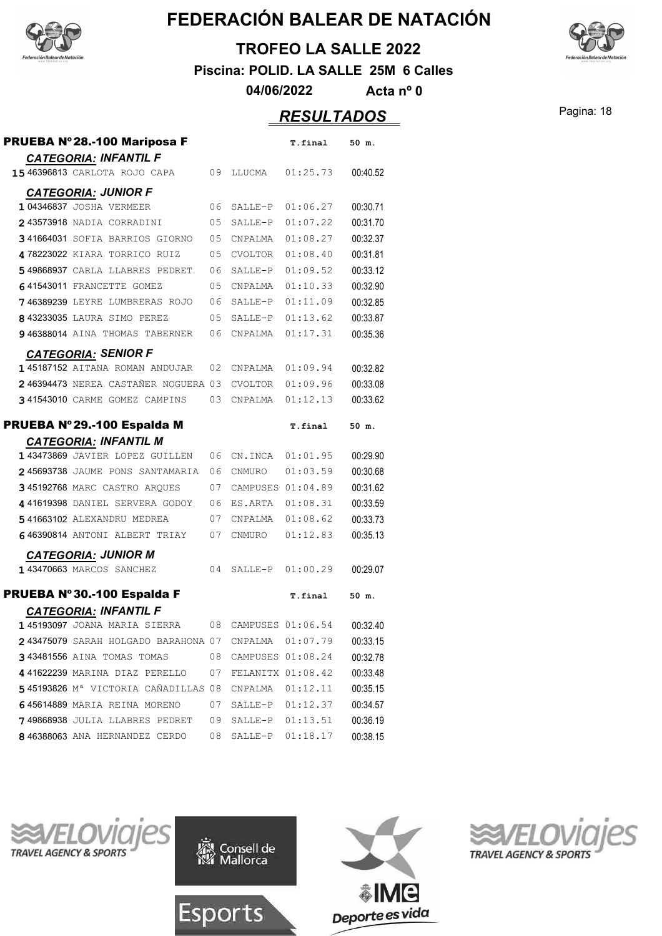

#### **TROFEO LA SALLE 2022**

**Piscina: POLID. LA SALLE 25M 6 Calles**

**04/06/2022 Acta nº 0**

## Pagina: 18 *RESULTADOS*

| PRUEBA Nº28.-100 Mariposa F<br><b>CATEGORIA: INFANTIL F</b> |                   | T.final  | 50 m.    |
|-------------------------------------------------------------|-------------------|----------|----------|
| 15 46396813 CARLOTA ROJO CAPA<br>09                         | LLUCMA            | 01:25.73 | 00:40.52 |
| <b>CATEGORIA: JUNIOR F</b>                                  |                   |          |          |
| 1 04346837 JOSHA VERMEER<br>06                              | SALLE-P           | 01:06.27 | 00:30.71 |
| 243573918 NADIA CORRADINI<br>05                             | SALLE-P           | 01:07.22 | 00:31.70 |
| 341664031 SOFIA BARRIOS GIORNO<br>05                        | CNPALMA           | 01:08.27 | 00:32.37 |
| 478223022 KIARA TORRICO RUIZ<br>05                          | <b>CVOLTOR</b>    | 01:08.40 | 00:31.81 |
| 549868937 CARLA LLABRES PEDRET<br>06                        | SALLE-P           | 01:09.52 | 00:33.12 |
| 641543011 FRANCETTE GOMEZ<br>05                             | CNPALMA           | 01:10.33 | 00:32.90 |
| 746389239 LEYRE LUMBRERAS ROJO<br>06                        | SALLE-P           | 01:11.09 | 00:32.85 |
| 8 43233035 LAURA SIMO PEREZ<br>05                           | SALLE-P           | 01:13.62 | 00:33.87 |
| 946388014 AINA THOMAS TABERNER<br>06                        | CNPALMA           | 01:17.31 | 00:35.36 |
| <b>CATEGORIA: SENIOR F</b>                                  |                   |          |          |
| 145187152 AITANA ROMAN ANDUJAR<br>02                        | CNPALMA           | 01:09.94 | 00:32.82 |
| 246394473 NEREA CASTAÑER NOGUERA 03                         | CVOLTOR           | 01:09.96 | 00:33.08 |
| 341543010 CARME GOMEZ CAMPINS<br>03                         | CNPALMA           | 01:12.13 | 00:33.62 |
| PRUEBA Nº 29.-100 Espalda M<br><b>CATEGORIA: INFANTIL M</b> |                   | T.final  | 50 m.    |
| 143473869 JAVIER LOPEZ GUILLEN<br>06                        | CN.INCA           | 01:01.95 | 00:29.90 |
| 245693738 JAUME PONS SANTAMARIA<br>06                       | CNMURO            | 01:03.59 | 00:30.68 |
| 345192768 MARC CASTRO ARQUES<br>07                          | CAMPUSES 01:04.89 |          | 00:31.62 |
| 441619398 DANIEL SERVERA GODOY<br>06                        | ES.ARTA           | 01:08.31 | 00:33.59 |
| 541663102 ALEXANDRU MEDREA<br>07                            | CNPALMA           | 01:08.62 | 00:33.73 |
| 646390814 ANTONI ALBERT TRIAY<br>07                         | CNMURO            | 01:12.83 | 00:35.13 |
| <b>CATEGORIA: JUNIOR M</b>                                  |                   |          |          |
| 143470663 MARCOS SANCHEZ<br>04                              | SALLE-P           | 01:00.29 | 00:29.07 |
| PRUEBA Nº30.-100 Espalda F<br><b>CATEGORIA: INFANTIL F</b>  |                   | T.final  | 50 m.    |
| <b>145193097</b> JOANA MARIA SIERRA<br>08                   | CAMPUSES 01:06.54 |          | 00:32.40 |
| 243475079 SARAH HOLGADO BARAHONA 07                         | CNPALMA 01:07.79  |          | 00:33.15 |
| 343481556 AINA TOMAS TOMAS<br>08                            | CAMPUSES 01:08.24 |          | 00:32.78 |
| 441622239 MARINA DIAZ PERELLO<br>07                         | FELANITX 01:08.42 |          | 00:33.48 |
| 545193826 Mª VICTORIA CAÑADILLAS 08                         | CNPALMA           | 01:12.11 | 00:35.15 |
| 645614889 MARIA REINA MORENO<br>07                          | SALLE-P           | 01:12.37 | 00:34.57 |
| 749868938 JULIA LLABRES PEDRET<br>09                        | SALLE-P           | 01:13.51 | 00:36.19 |
| 846388063 ANA HERNANDEZ CERDO<br>08                         | SALLE-P           | 01:18.17 | 00:38.15 |









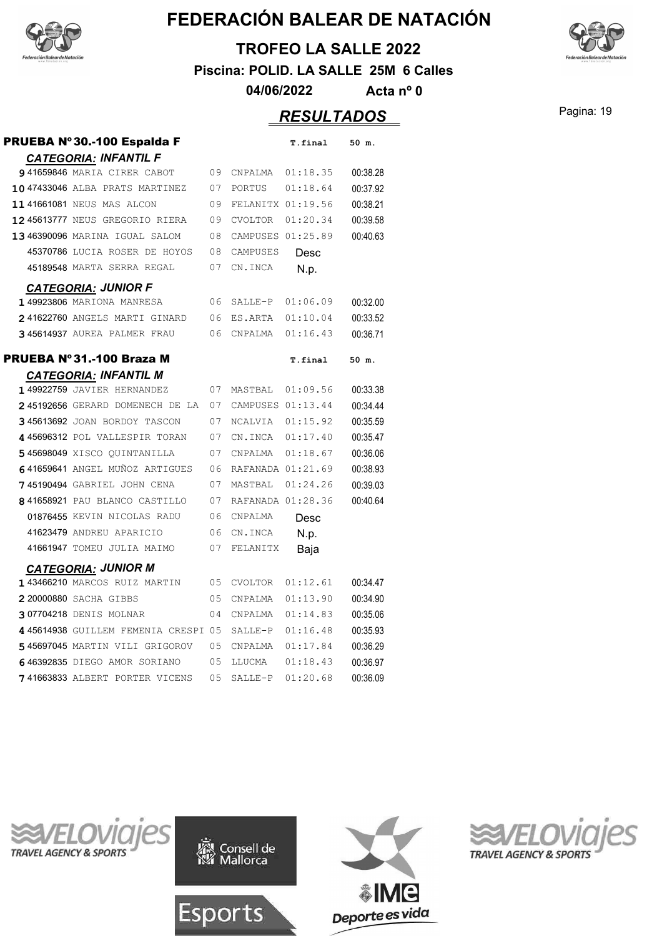



**Piscina: POLID. LA SALLE 25M 6 Calles**

**04/06/2022 Acta nº 0**

## Pagina: 19 *RESULTADOS*

| PRUEBA Nº30.-100 Espalda F                 |     |                   | T.final  | 50 m.    |
|--------------------------------------------|-----|-------------------|----------|----------|
| <b>CATEGORIA: INFANTIL F</b>               |     |                   |          |          |
| 941659846 MARIA CIRER CABOT                | 09  | CNPALMA           | 01:18.35 | 00:38.28 |
| 10 47433046 ALBA PRATS MARTINEZ            | 07  | PORTUS            | 01:18.64 | 00:37.92 |
| 11 41661081 NEUS MAS ALCON                 | 09  | FELANITX 01:19.56 |          | 00:38.21 |
| 12 45613777 NEUS GREGORIO RIERA            | 09  | <b>CVOLTOR</b>    | 01:20.34 | 00:39.58 |
| 13 46390096 MARINA IGUAL SALOM             | 08  | CAMPUSES 01:25.89 |          | 00:40.63 |
| 45370786 LUCIA ROSER DE HOYOS              | 08  | CAMPUSES          | Desc     |          |
| 45189548 MARTA SERRA REGAL                 | 07  | CN.INCA           | N.p.     |          |
| <b>CATEGORIA: JUNIOR F</b>                 |     |                   |          |          |
| 1 49923806 MARIONA MANRESA                 | 06  | SALLE-P           | 01:06.09 | 00:32.00 |
| 241622760 ANGELS MARTI GINARD              | 06  | ES.ARTA           | 01:10.04 | 00:33.52 |
| 345614937 AUREA PALMER FRAU                | 06  | CNPALMA           | 01:16.43 | 00:36.71 |
| PRUEBA Nº 31.-100 Braza M                  |     |                   | T.final  | 50 m.    |
| <b>CATEGORIA: INFANTIL M</b>               |     |                   |          |          |
| 1 49922759 JAVIER HERNANDEZ                | 07  | MASTBAL           | 01:09.56 | 00:33.38 |
| 245192656 GERARD DOMENECH DE LA            | 07  | CAMPUSES 01:13.44 |          | 00:34.44 |
| 345613692 JOAN BORDOY TASCON               | 07  | <b>NCALVIA</b>    | 01:15.92 | 00:35.59 |
| 445696312 POL VALLESPIR TORAN              | 07  | CN.INCA           | 01:17.40 | 00:35.47 |
| 545698049 XISCO OUINTANILLA                | 07  | CNPALMA           | 01:18.67 | 00:36.06 |
| 641659641 ANGEL MUÑOZ ARTIGUES             | 06  | RAFANADA 01:21.69 |          | 00:38.93 |
| 745190494 GABRIEL JOHN CENA                | 07  | MASTBAL           | 01:24.26 | 00:39.03 |
| 8 41658921 PAU BLANCO CASTILLO             | 07  | RAFANADA 01:28.36 |          | 00:40.64 |
| 01876455 KEVIN NICOLAS RADU                | 06  | CNPALMA           | Desc     |          |
| 41623479 ANDREU APARICIO                   | 06  | CN.INCA           | N.p.     |          |
| 41661947 TOMEU JULIA MAIMO                 | 07  | FELANITX          | Baja     |          |
| <b>CATEGORIA: JUNIOR M</b>                 |     |                   |          |          |
| 143466210 MARCOS RUIZ MARTIN               | 05  | <b>CVOLTOR</b>    | 01:12.61 | 00:34.47 |
| 2 20000880 SACHA GIBBS                     | 0.5 | CNPALMA           | 01:13.90 | 00:34.90 |
| 307704218 DENIS MOLNAR                     | 04  | CNPALMA           | 01:14.83 | 00:35.06 |
| <b>445614938</b> GUILLEM FEMENIA CRESPI 05 |     | $SALLE-P$         | 01:16.48 | 00:35.93 |
| 545697045 MARTIN VILI GRIGOROV             | 0.5 | CNPALMA           | 01:17.84 | 00:36.29 |
| 646392835 DIEGO AMOR SORIANO               | 05  | LLUCMA            | 01:18.43 | 00:36.97 |
| 741663833 ALBERT PORTER VICENS             | 05  | SALLE-P           | 01:20.68 | 00:36.09 |









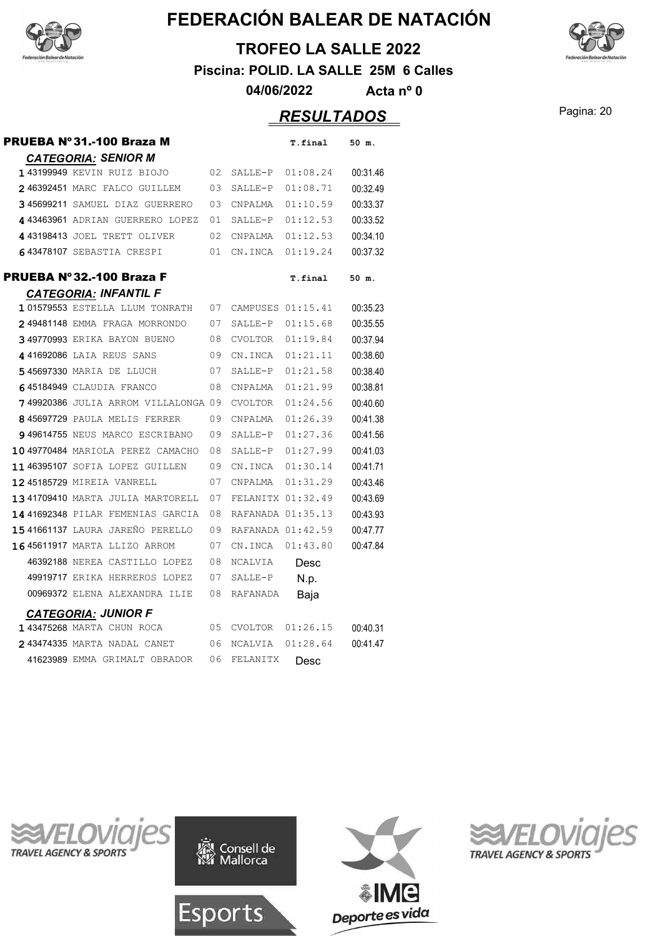

#### **TROFEO LA SALLE 2022**

**Piscina: POLID. LA SALLE 25M 6 Calles**

**04/06/2022 Acta nº 0**

## Pagina: 20 *RESULTADOS*

| PRUEBA Nº 31.-100 Braza M           |    |                   | T.final  | 50 m.    |
|-------------------------------------|----|-------------------|----------|----------|
| <b>CATEGORIA: SENIOR M</b>          |    |                   |          |          |
| 143199949 KEVIN RUIZ BIOJO          | 02 | SALLE-P           | 01:08.24 | 00:31.46 |
| 246392451 MARC FALCO GUILLEM        | 03 | SALLE-P           | 01:08.71 | 00:32.49 |
| 345699211 SAMUEL DIAZ GUERRERO      | 03 | CNPALMA           | 01:10.59 | 00:33.37 |
| 443463961 ADRIAN GUERRERO LOPEZ     | 01 | SALLE-P           | 01:12.53 | 00:33.52 |
| 443198413 JOEL TRETT OLIVER         | 02 | CNPALMA           | 01:12.53 | 00:34.10 |
| 643478107 SEBASTIA CRESPI           | 01 | CN.INCA           | 01:19.24 | 00:37.32 |
| PRUEBA Nº 32.-100 Braza F           |    |                   | T.final  | 50 m.    |
| <b>CATEGORIA: INFANTIL F</b>        |    |                   |          |          |
| 101579553 ESTELLA LLUM TONRATH      | 07 | CAMPUSES 01:15.41 |          | 00:35.23 |
| 249481148 EMMA FRAGA MORRONDO       | 07 | SALLE-P           | 01:15.68 | 00:35.55 |
| 349770993 ERIKA BAYON BUENO         | 08 | <b>CVOLTOR</b>    | 01:19.84 | 00:37.94 |
| 441692086 LAIA REUS SANS            | 09 | CN.INCA           | 01:21.11 | 00:38.60 |
| 545697330 MARIA DE LLUCH            | 07 | SALLE-P           | 01:21.58 | 00:38.40 |
| 645184949 CLAUDIA FRANCO            | 08 | CNPALMA           | 01:21.99 | 00:38.81 |
| 749920386 JULIA ARROM VILLALONGA 09 |    | CVOLTOR           | 01:24.56 | 00:40.60 |
| 845697729 PAULA MELIS FERRER        | 09 | CNPALMA           | 01:26.39 | 00:41.38 |
| 949614755 NEUS MARCO ESCRIBANO      | 09 | SALLE-P           | 01:27.36 | 00:41.56 |
| 1049770484 MARIOLA PEREZ CAMACHO    | 08 | SALLE-P           | 01:27.99 | 00:41.03 |
| 1146395107 SOFIA LOPEZ GUILLEN      | 09 | CN.INCA           | 01:30.14 | 00:41.71 |
| <b>12 45185729 MIREIA VANRELL</b>   | 07 | CNPALMA           | 01:31.29 | 00:43.46 |
| 1341709410 MARTA JULIA MARTORELL    | 07 | FELANITX 01:32.49 |          | 00:43.69 |
| 14 41692348 PILAR FEMENIAS GARCIA   | 08 | RAFANADA 01:35.13 |          | 00:43.93 |
| 1541661137 LAURA JAREÑO PERELLO     | 09 | RAFANADA 01:42.59 |          | 00:47.77 |
| 1645611917 MARTA LLIZO ARROM        | 07 | CN.INCA           | 01:43.80 | 00:47.84 |
| 46392188 NEREA CASTILLO LOPEZ       | 08 | NCALVIA           | Desc     |          |
| 49919717 ERIKA HERREROS LOPEZ       | 07 | SALLE-P           | N.p.     |          |
| 00969372 ELENA ALEXANDRA ILIE       | 08 | <b>RAFANADA</b>   | Baja     |          |
| <b>CATEGORIA: JUNIOR F</b>          |    |                   |          |          |
| 143475268 MARTA CHUN ROCA           | 05 | CVOLTOR           | 01:26.15 | 00:40.31 |
| 243474335 MARTA NADAL CANET         | 06 | NCALVIA           | 01:28.64 | 00:41.47 |
| 41623989 EMMA GRIMALT OBRADOR       | 06 | FELANITX          | Desc     |          |









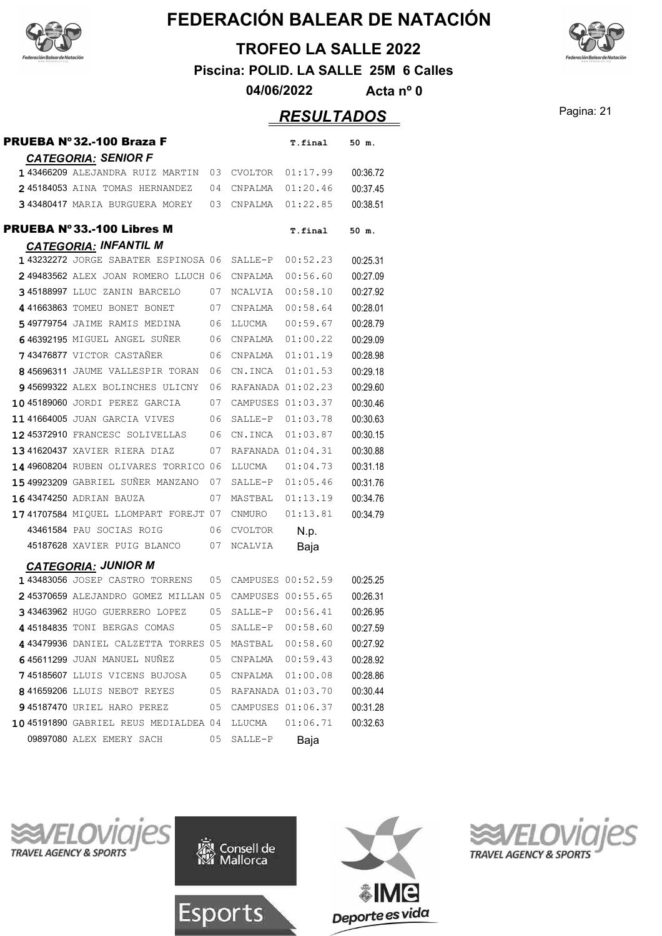

#### **TROFEO LA SALLE 2022**

**Piscina: POLID. LA SALLE 25M 6 Calles**

**04/06/2022 Acta nº 0**

## Pagina: 21 *RESULTADOS*

| PRUEBA Nº 32.-100 Braza F                             |      |                   | T.final             | 50 m.    |
|-------------------------------------------------------|------|-------------------|---------------------|----------|
| <b>CATEGORIA: SENIOR F</b>                            |      |                   |                     |          |
| 143466209 ALEJANDRA RUIZ MARTIN                       | 03   | CVOLTOR           | 01:17.99            | 00:36.72 |
| 245184053 AINA TOMAS HERNANDEZ                        | 04   | CNPALMA           | 01:20.46            | 00:37.45 |
| 343480417 MARIA BURGUERA MOREY 03                     |      | CNPALMA           | 01:22.85            | 00:38.51 |
| PRUEBA Nº33.-100 Libres M                             |      |                   | T.final             | 50 m.    |
| <b>CATEGORIA: INFANTIL M</b>                          |      |                   |                     |          |
| 143232272 JORGE SABATER ESPINOSA 06                   |      | SALLE-P           | 00:52.23            | 00:25.31 |
| 249483562 ALEX JOAN ROMERO LLUCH 06                   |      | CNPALMA           | 00:56.60            | 00:27.09 |
| 345188997 LLUC ZANIN BARCELO                          | 07   | NCALVIA           | 00:58.10            | 00:27.92 |
| 441663863 TOMEU BONET BONET                           | - 07 | CNPALMA           | 00:58.64            | 00:28.01 |
| <b>549779754</b> JAIME RAMIS MEDINA                   | - 06 | LLUCMA            | 00:59.67            | 00:28.79 |
| 646392195 MIGUEL ANGEL SUÑER                          | 06   | CNPALMA           | 01:00.22            | 00:29.09 |
| 743476877 VICTOR CASTAÑER                             | 06   | CNPALMA           | 01:01.19            | 00:28.98 |
| 845696311 JAUME VALLESPIR TORAN                       | 06   | CN.INCA           | 01:01.53            | 00:29.18 |
| 945699322 ALEX BOLINCHES ULICNY                       | 06   | RAFANADA 01:02.23 |                     | 00:29.60 |
| 1045189060 JORDI PEREZ GARCIA                         | 07   | CAMPUSES 01:03.37 |                     | 00:30.46 |
| 11 41664005 JUAN GARCIA VIVES                         | 06   | SALLE-P           | 01:03.78            | 00:30.63 |
| 1245372910 FRANCESC SOLIVELLAS                        | 06   | CN.INCA           | 01:03.87            | 00:30.15 |
| 1341620437 XAVIER RIERA DIAZ                          | 07   | RAFANADA 01:04.31 |                     | 00:30.88 |
| 14 49608204 RUBEN OLIVARES TORRICO 06                 |      | LLUCMA            | 01:04.73            | 00:31.18 |
| 1549923209 GABRIEL SUÑER MANZANO                      | 07   | SALLE-P           | 01:05.46            | 00:31.76 |
| 1643474250 ADRIAN BAUZA                               | 07   | MASTBAL           | 01:13.19            | 00:34.76 |
| 1741707584 MIQUEL LLOMPART FOREJT 07                  |      | CNMURO            | 01:13.81            | 00:34.79 |
| 43461584 PAU SOCIAS ROIG                              | 06   | <b>CVOLTOR</b>    | N.p.                |          |
| 45187628 XAVIER PUIG BLANCO                           | 07   | NCALVIA           | Baja                |          |
| <b>CATEGORIA: JUNIOR M</b>                            |      |                   |                     |          |
| 143483056 JOSEP CASTRO TORRENS                        | 05   | CAMPUSES 00:52.59 |                     | 00:25.25 |
| 245370659 ALEJANDRO GOMEZ MILLAN 05 CAMPUSES 00:55.65 |      |                   |                     | 00:26.31 |
| 343463962 HUGO GUERRERO LOPEZ                         | 05   | SALLE-P           | 00:56.41            | 00:26.95 |
| 445184835 TONI BERGAS COMAS 05 SALLE-P 00:58.60       |      |                   |                     | 00:27.59 |
| 443479936 DANIEL CALZETTA TORRES 05 MASTBAL 00:58.60  |      |                   |                     | 00:27.92 |
| 645611299 JUAN MANUEL NUÑEZ                           |      |                   | 05 CNPALMA 00:59.43 | 00:28.92 |
| 745185607 LLUIS VICENS BUJOSA 05                      |      |                   |                     | 00:28.86 |
| 841659206 LLUIS NEBOT REYES 05                        |      |                   | RAFANADA 01:03.70   | 00:30.44 |
| 945187470 URIEL HARO PEREZ 05                         |      |                   | CAMPUSES 01:06.37   | 00:31.28 |
| 10 45191890 GABRIEL REUS MEDIALDEA 04                 |      |                   |                     | 00:32.63 |
| 09897080 ALEX EMERY SACH                              | 05   | SALLE-P           | Baja                |          |









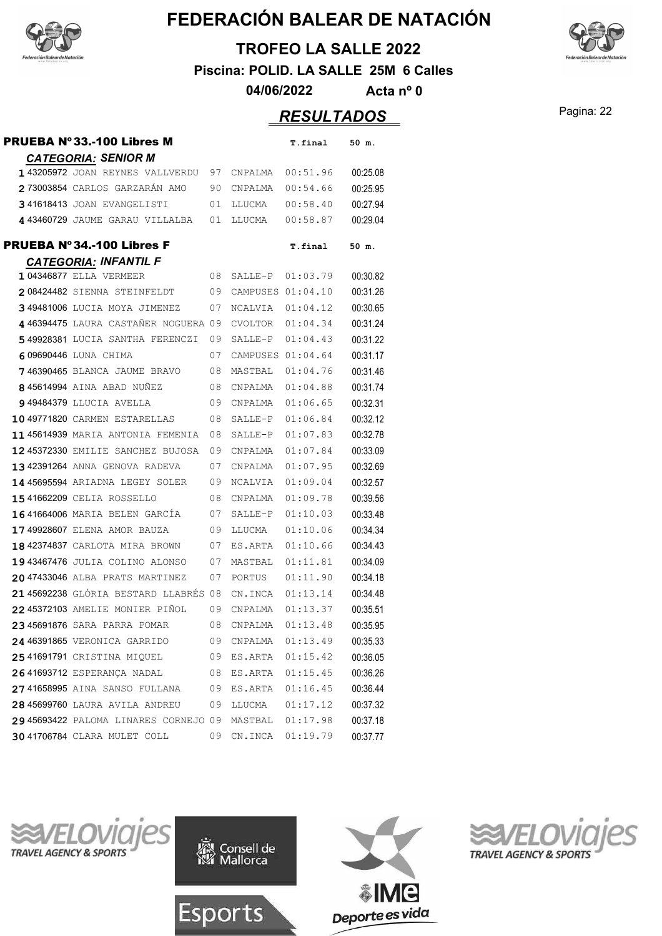

#### **TROFEO LA SALLE 2022**

**Piscina: POLID. LA SALLE 25M 6 Calles**

**04/06/2022 Acta nº 0**

## **RESULTADOS** Pagina: 22

| PRUEBA Nº33.-100 Libres M                                     |    |                   | T.final  | 50 m.    |
|---------------------------------------------------------------|----|-------------------|----------|----------|
| <b>CATEGORIA: SENIOR M</b>                                    |    |                   |          |          |
| 143205972 JOAN REYNES VALLVERDU                               | 97 | CNPALMA           | 00:51.96 | 00:25.08 |
| 273003854 CARLOS GARZARAN AMO                                 | 90 | CNPALMA           | 00:54.66 | 00:25.95 |
| 341618413 JOAN EVANGELISTI                                    | 01 | LLUCMA            | 00:58.40 | 00:27.94 |
| 443460729 JAUME GARAU VILLALBA                                | 01 | LLUCMA            | 00:58.87 | 00:29.04 |
| PRUEBA Nº34.-100 Libres F                                     |    |                   | T.final  | 50 m.    |
| <b>CATEGORIA: INFANTIL F</b><br><b>104346877 ELLA VERMEER</b> | 08 | SALLE-P           | 01:03.79 | 00:30.82 |
| 208424482 SIENNA STEINFELDT                                   | 09 | CAMPUSES 01:04.10 |          | 00:31.26 |
| 349481006 LUCIA MOYA JIMENEZ                                  | 07 | NCALVIA           | 01:04.12 | 00:30.65 |
| <b>446394475</b> LAURA CASTAÑER NOGUERA 09                    |    | CVOLTOR           | 01:04.34 | 00:31.24 |
| 549928381 LUCIA SANTHA FERENCZI                               | 09 | SALLE-P           | 01:04.43 | 00:31.22 |
| 609690446 LUNA CHIMA                                          | 07 | CAMPUSES 01:04.64 |          | 00:31.17 |
| 746390465 BLANCA JAUME BRAVO                                  | 08 | MASTBAL           | 01:04.76 | 00:31.46 |
| 845614994 AINA ABAD NUÑEZ                                     | 08 | CNPALMA           | 01:04.88 | 00:31.74 |
| <b>949484379 LLUCIA AVELLA</b>                                | 09 | CNPALMA           | 01:06.65 | 00:32.31 |
| 10 49771820 CARMEN ESTARELLAS                                 | 08 | SALLE-P           | 01:06.84 | 00:32.12 |
| 1145614939 MARIA ANTONIA FEMENIA                              | 08 | SALLE-P           | 01:07.83 | 00:32.78 |
| <b>1245372330 EMILIE SANCHEZ BUJOSA</b>                       | 09 | CNPALMA           | 01:07.84 | 00:33.09 |
| <b>1342391264</b> ANNA GENOVA RADEVA                          | 07 | CNPALMA           | 01:07.95 | 00:32.69 |
| <b>1445695594</b> ARIADNA LEGEY SOLER                         | 09 | NCALVIA           | 01:09.04 | 00:32.57 |
| 1541662209 CELIA ROSSELLO                                     | 08 | CNPALMA           | 01:09.78 | 00:39.56 |
| 1641664006 MARIA BELEN GARCIA                                 | 07 | SALLE-P           | 01:10.03 | 00:33.48 |
| 1749928607 ELENA AMOR BAUZA                                   | 09 | LLUCMA            | 01:10.06 | 00:34.34 |
| 1842374837 CARLOTA MIRA BROWN                                 | 07 | ES.ARTA           | 01:10.66 | 00:34.43 |
| 1943467476 JULIA COLINO ALONSO                                | 07 | MASTBAL           | 01:11.81 | 00:34.09 |
| 2047433046 ALBA PRATS MARTINEZ                                | 07 | PORTUS            | 01:11.90 | 00:34.18 |
| 21 45692238 GLÒRIA BESTARD LLABRÉS                            | 08 | CN.INCA           | 01:13.14 | 00:34.48 |
| <b>2245372103</b> AMELIE MONIER PIÑOL                         | 09 | CNPALMA           | 01:13.37 | 00:35.51 |
| 23 45691876 SARA PARRA POMAR                                  | 08 | CNPALMA           | 01:13.48 | 00:35.95 |
| 24 46391865 VERONICA GARRIDO                                  | 09 | CNPALMA           | 01:13.49 | 00:35.33 |
| 25 41691791 CRISTINA MIQUEL                                   | 09 | ES.ARTA           | 01:15.42 | 00:36.05 |
| 2641693712 ESPERANCA NADAL                                    | 08 | ES.ARTA           | 01:15.45 | 00:36.26 |
| 27 41658995 AINA SANSO FULLANA                                | 09 | ES.ARTA           | 01:16.45 | 00:36.44 |
| 28 45699760 LAURA AVILA ANDREU                                | 09 | LLUCMA            | 01:17.12 | 00:37.32 |
| 29 45693422 PALOMA LINARES CORNEJO 09                         |    | MASTBAL           | 01:17.98 | 00:37.18 |
| <b>3041706784 CLARA MULET COLL</b>                            | 09 | CN.INCA           | 01:19.79 | 00:37.77 |
|                                                               |    |                   |          |          |









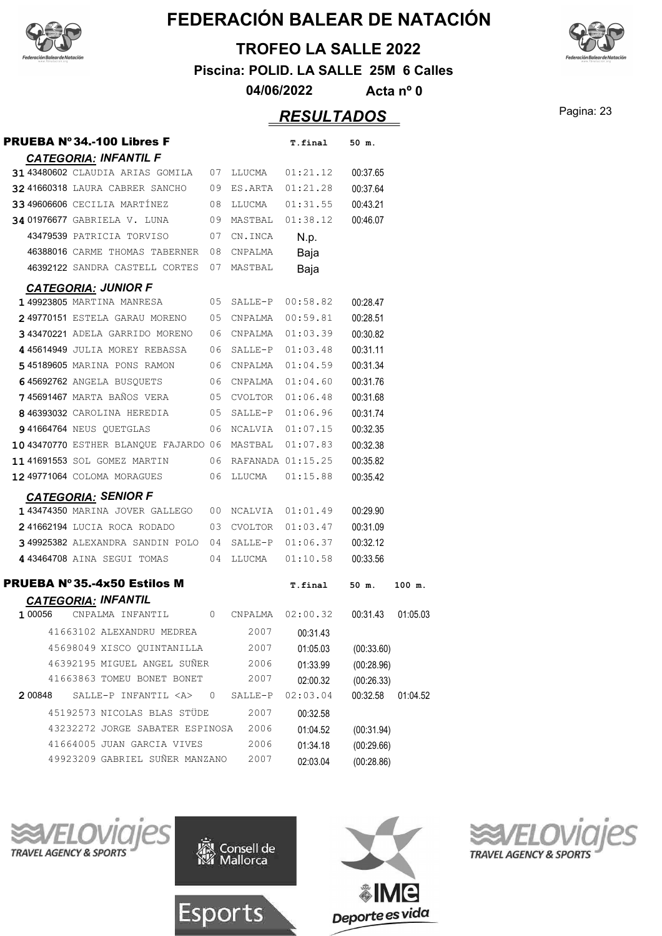

#### **TROFEO LA SALLE 2022**

**Piscina: POLID. LA SALLE 25M 6 Calles**

**04/06/2022 Acta nº 0**

## Pagina: 23 *RESULTADOS*

| <b>PRUEBA Nº34.-100 Libres F</b>      |                |            | T.final           | 50 m.      |          |
|---------------------------------------|----------------|------------|-------------------|------------|----------|
| <b>CATEGORIA: INFANTIL F</b>          |                |            |                   |            |          |
| 31 43480602 CLAUDIA ARIAS GOMILA 07   |                | LLUCMA     | 01:21.12          | 00:37.65   |          |
| 32 41660318 LAURA CABRER SANCHO       | 09             | ES.ARTA    | 01:21.28          | 00:37.64   |          |
| 33 49606606 CECILIA MARTINEZ          | 08             | LLUCMA     | 01:31.55          | 00:43.21   |          |
| <b>34 01976677 GABRIELA V. LUNA</b>   | 09             | MASTBAL    | 01:38.12          | 00:46.07   |          |
| 43479539 PATRICIA TORVISO             | 07             | CN.INCA    | N.p.              |            |          |
| 46388016 CARME THOMAS TABERNER        | 08             | CNPALMA    | Baja              |            |          |
| 46392122 SANDRA CASTELL CORTES        | 07             | MASTBAL    | Baja              |            |          |
| <b>CATEGORIA: JUNIOR F</b>            |                |            |                   |            |          |
| 149923805 MARTINA MANRESA             | 05             | SALLE-P    | 00:58.82          | 00:28.47   |          |
| 249770151 ESTELA GARAU MORENO         | 05             | CNPALMA    | 00:59.81          | 00:28.51   |          |
| 343470221 ADELA GARRIDO MORENO        | 06             | CNPALMA    | 01:03.39          | 00:30.82   |          |
| 445614949 JULIA MOREY REBASSA         | 06             | SALLE-P    | 01:03.48          | 00:31.11   |          |
| 545189605 MARINA PONS RAMON           |                | 06 CNPALMA | 01:04.59          | 00:31.34   |          |
| 645692762 ANGELA BUSOUETS             |                | 06 CNPALMA | 01:04.60          | 00:31.76   |          |
| <b>745691467</b> MARTA BAÑOS VERA     | 05             | CVOLTOR    | 01:06.48          | 00:31.68   |          |
| 846393032 CAROLINA HEREDIA            | 05             | SALLE-P    | 01:06.96          | 00:31.74   |          |
| <b>941664764 NEUS QUETGLAS</b>        | 06             | NCALVIA    | 01:07.15          | 00:32.35   |          |
| 10 43470770 ESTHER BLANQUE FAJARDO 06 |                | MASTBAL    | 01:07.83          | 00:32.38   |          |
| 1141691553 SOL GOMEZ MARTIN           | 06             |            | RAFANADA 01:15.25 | 00:35.82   |          |
| 12 49771064 COLOMA MORAGUES           | 06             | LLUCMA     | 01:15.88          | 00:35.42   |          |
| <b>CATEGORIA: SENIOR F</b>            |                |            |                   |            |          |
| 143474350 MARINA JOVER GALLEGO        | 00             | NCALVIA    | 01:01.49          | 00:29.90   |          |
| 241662194 LUCIA ROCA RODADO           | 03             | CVOLTOR    | 01:03.47          | 00:31.09   |          |
| 349925382 ALEXANDRA SANDIN POLO       | 04             | SALLE-P    | 01:06.37          | 00:32.12   |          |
| 443464708 AINA SEGUI TOMAS            | 04             | LLUCMA     | 01:10.58          | 00:33.56   |          |
| <b>PRUEBA Nº 35.-4x50 Estilos M</b>   |                |            | T.final           | 50 m.      | 100 m.   |
| <b>CATEGORIA: INFANTIL</b>            |                |            |                   |            |          |
| 1 00056<br>CNPALMA INFANTIL           | 0              | CNPALMA    | 02:00.32          | 00:31.43   | 01:05.03 |
| 41663102 ALEXANDRU MEDREA             |                | 2007       | 00:31.43          |            |          |
| 45698049 XISCO OUINTANILLA            |                | 2007       | 01:05.03          | (00:33.60) |          |
| 46392195 MIGUEL ANGEL SUÑER           |                | 2006       | 01:33.99          | (00:28.96) |          |
| 41663863 TOMEU BONET BONET            |                | 2007       | 02:00.32          | (00:26.33) |          |
| SALLE-P INFANTIL <a><br/>2 00848</a>  | $\overline{0}$ | SALLE-P    | 02:03.04          | 00:32.58   | 01:04.52 |
| 45192573 NICOLAS BLAS STÜDE           |                | 2007       | 00:32.58          |            |          |
| 43232272 JORGE SABATER ESPINOSA       |                | 2006       | 01:04.52          | (00:31.94) |          |
| 41664005 JUAN GARCIA VIVES            |                | 2006       | 01:34.18          | (00:29.66) |          |
| 49923209 GABRIEL SUÑER MANZANO        |                | 2007       | 02:03.04          | (00:28.86) |          |









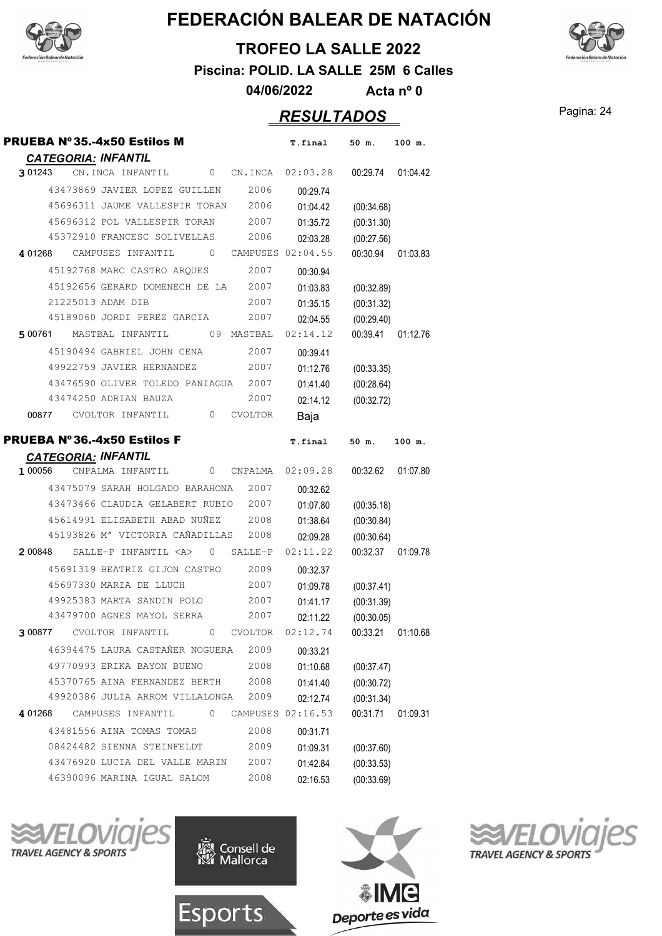



**TROFEO LA SALLE 2022**

**Piscina: POLID. LA SALLE 25M 6 Calles**

**04/06/2022 Acta nº 0**

#### Pagina: 24 *RESULTADOS*

| <b>PRUEBA Nº 35.-4x50 Estilos M</b>                                        | T.final<br>50 m.<br>100 m.                |
|----------------------------------------------------------------------------|-------------------------------------------|
| <b>CATEGORIA: INFANTIL</b>                                                 |                                           |
| 301243 CN.INCA INFANTIL<br>0 CN.INCA 02:03.28                              | 00:29.74 01:04.42                         |
| 43473869 JAVIER LOPEZ GUILLEN<br>2006                                      | 00:29.74                                  |
| 45696311 JAUME VALLESPIR TORAN<br>2006                                     | 01:04.42<br>(00:34.68)                    |
| 45696312 POL VALLESPIR TORAN<br>2007                                       | 01:35.72<br>(00:31.30)                    |
| 45372910 FRANCESC SOLIVELLAS<br>2006                                       | 02:03.28<br>(00:27.56)                    |
| 4 01268 CAMPUSES INFANTIL 0 CAMPUSES 02:04.55                              | 00:30.94<br>01:03.83                      |
| 45192768 MARC CASTRO ARQUES<br>2007                                        | 00:30.94                                  |
| 45192656 GERARD DOMENECH DE LA<br>2007                                     | 01:03.83<br>(00:32.89)                    |
| 21225013 ADAM DIB<br>2007                                                  | 01:35.15<br>(00:31.32)                    |
| 45189060 JORDI PEREZ GARCIA<br>2007                                        | (00:29.40)<br>02:04.55                    |
| 500761 MASTBAL INFANTIL 09 MASTBAL                                         | 02:14.12<br>00:39.41<br>01:12.76          |
| 45190494 GABRIEL JOHN CENA<br>2007                                         | 00:39.41                                  |
| 49922759 JAVIER HERNANDEZ<br>2007                                          | 01:12.76<br>(00:33.35)                    |
| 43476590 OLIVER TOLEDO PANIAGUA 2007                                       | 01:41.40<br>(00:28.64)                    |
| 43474250 ADRIAN BAUZA<br>2007                                              | 02:14.12<br>(00:32.72)                    |
| 00877 CVOLTOR INFANTIL 0<br><b>CVOLTOR</b>                                 | Baja                                      |
| <b>PRUEBA Nº 36.-4x50 Estilos F</b>                                        | <b>T.final</b><br>50 m.<br>100 m.         |
| <b>CATEGORIA: INFANTIL</b>                                                 |                                           |
| 1 00056<br>CNPALMA INFANTIL<br>$\circ$<br>CNPALMA                          | 02:09.28<br>00:32.62<br>01:07.80          |
| 43475079 SARAH HOLGADO BARAHONA<br>2007                                    | 00:32.62                                  |
| 43473466 CLAUDIA GELABERT RUBIO<br>2007                                    | 01:07.80<br>(00:35.18)                    |
| 45614991 ELISABETH ABAD NUÑEZ<br>2008                                      | 01:38.64<br>(00:30.84)                    |
| 45193826 Mª VICTORIA CAÑADILLAS<br>2008                                    | 02:09.28<br>(00:30.64)                    |
| $200848$ SALLE-P INFANTIL $\langle A \rangle$<br>$\overline{0}$<br>SALLE-P | 00:32.37 01:09.78<br>02:11.22             |
| 45691319 BEATRIZ GIJON CASTRO<br>2009                                      | 00:32.37                                  |
| 2007<br>45697330 MARIA DE LLUCH                                            | 01:09.78<br>(00:37.41)                    |
| 49925383 MARTA SANDIN POLO<br>2007                                         | 01:41.17<br>(00:31.39)                    |
| 43479700 AGNES MAYOL SERRA<br>2007                                         | 02:11.22<br>(00:30.05)                    |
| 300877 CVOLTOR INFANTIL 0 CVOLTOR 02:12.74                                 | 00:33.21 01:10.68                         |
| 46394475 LAURA CASTAÑER NOGUERA<br>2009                                    | 00:33.21                                  |
| 49770993 ERIKA BAYON BUENO<br>2008                                         | 01:10.68<br>(00:37.47)                    |
| 45370765 AINA FERNANDEZ BERTH<br>2008                                      | 01:41.40<br>(00:30.72)                    |
| 49920386 JULIA ARROM VILLALONGA<br>2009                                    | 02:12.74<br>(00:31.34)                    |
| 401268 CAMPUSES INFANTIL 0                                                 | CAMPUSES 02:16.53<br>00:31.71<br>01:09.31 |
| 43481556 AINA TOMAS TOMAS<br>2008                                          | 00:31.71                                  |
| 08424482 SIENNA STEINFELDT<br>2009                                         | 01:09.31<br>(00:37.60)                    |
| 43476920 LUCIA DEL VALLE MARIN<br>2007                                     | 01:42.84<br>(00:33.53)                    |
| 46390096 MARINA IGUAL SALOM<br>2008                                        | 02:16.53<br>(00:33.69)                    |
|                                                                            |                                           |





Consell de<br>Mallorca



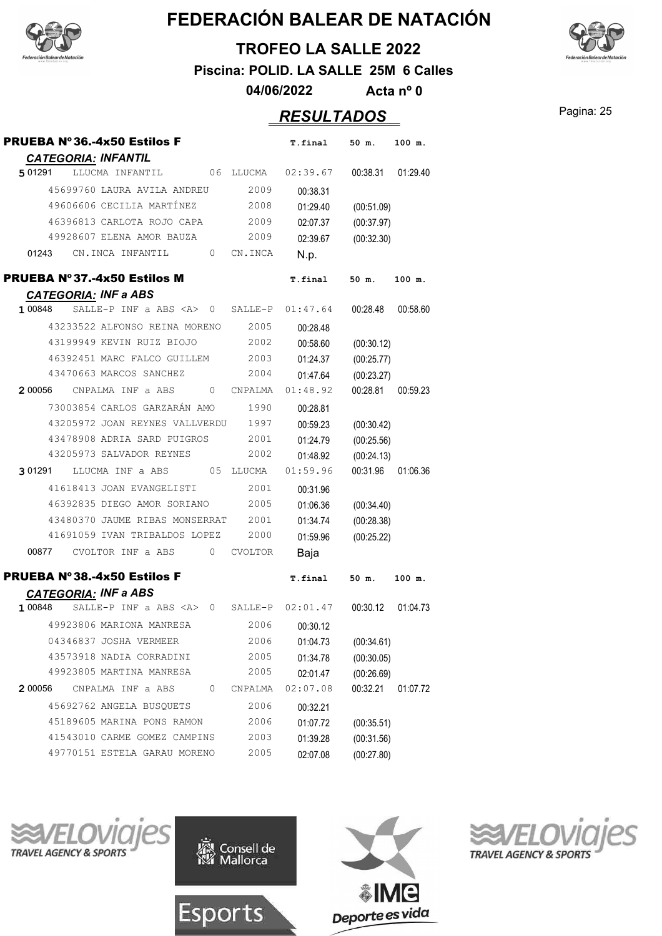



**TROFEO LA SALLE 2022**

**Piscina: POLID. LA SALLE 25M 6 Calles**

**04/06/2022 Acta nº 0**

#### Pagina: 25 *RESULTADOS*

| <b>PRUEBA Nº 36.-4x50 Estilos F</b>                                 |                | T.final  | $50$ m.    | 100 m.   |
|---------------------------------------------------------------------|----------------|----------|------------|----------|
| <b>CATEGORIA: INFANTIL</b>                                          |                |          |            |          |
| 5 0 1 2 9 1<br>LLUCMA INFANTIL<br>06                                | LLUCMA         | 02:39.67 | 00:38.31   | 01:29.40 |
| 45699760 LAURA AVILA ANDREU                                         | 2009           | 00:38.31 |            |          |
| 49606606 CECILIA MARTÍNEZ                                           | 2008           | 01:29.40 | (00:51.09) |          |
| 46396813 CARLOTA ROJO CAPA                                          | 2009           | 02:07.37 | (00:37.97) |          |
| 49928607 ELENA AMOR BAUZA                                           | 2009           | 02:39.67 | (00:32.30) |          |
| 01243<br>CN.INCA INFANTIL<br>0                                      | CN.INCA        | N.p.     |            |          |
| <b>PRUEBA Nº 37.-4x50 Estilos M</b>                                 |                | T.final  | 50 m.      | 100 m.   |
| <b>CATEGORIA: INF a ABS</b>                                         |                |          |            |          |
| SALLE-P INF a ABS <a><br/>1 00848<br/><math>\overline{0}</math></a> | SALLE-P        | 01:47.64 | 00:28.48   | 00:58.60 |
| 43233522 ALFONSO REINA MORENO                                       | 2005           | 00:28.48 |            |          |
| 43199949 KEVIN RUIZ BIOJO                                           | 2002           | 00:58.60 | (00:30.12) |          |
| 46392451 MARC FALCO GUILLEM                                         | 2003           | 01:24.37 | (00:25.77) |          |
| 43470663 MARCOS SANCHEZ                                             | 2004           | 01:47.64 | (00:23.27) |          |
| 2 00056<br>CNPALMA INF a ABS<br>0                                   | CNPALMA        | 01:48.92 | 00:28.81   | 00:59.23 |
| 73003854 CARLOS GARZARÁN AMO                                        | 1990           | 00:28.81 |            |          |
| 43205972 JOAN REYNES VALLVERDU                                      | 1997           | 00:59.23 | (00:30.42) |          |
| 43478908 ADRIA SARD PUIGROS                                         | 2001           | 01:24.79 | (00:25.56) |          |
| 43205973 SALVADOR REYNES                                            | 2002           | 01:48.92 | (00:24.13) |          |
| LLUCMA INF a ABS<br>05<br>3 01291                                   | LLUCMA         | 01:59.96 | 00:31.96   | 01:06.36 |
| 41618413 JOAN EVANGELISTI                                           | 2001           | 00:31.96 |            |          |
| 46392835 DIEGO AMOR SORIANO                                         | 2005           | 01:06.36 | (00:34.40) |          |
| 43480370 JAUME RIBAS MONSERRAT                                      | 2001           | 01:34.74 | (00:28.38) |          |
| 41691059 IVAN TRIBALDOS LOPEZ                                       | 2000           | 01:59.96 | (00:25.22) |          |
| CVOLTOR INF a ABS<br>0<br>00877                                     | <b>CVOLTOR</b> | Baja     |            |          |
| <b>PRUEBA Nº 38.-4x50 Estilos F</b>                                 |                | T.final  | 50 m.      | 100 m.   |
| <b>CATEGORIA: INF a ABS</b>                                         |                |          |            |          |
| 1 00848<br>SALLE-P INF a ABS <a><br/><math>\mathbf{0}</math></a>    | SALLE-P        | 02:01.47 | 00:30.12   | 01:04.73 |
| 49923806 MARIONA MANRESA                                            | 2006           | 00:30.12 |            |          |
| 04346837 JOSHA VERMEER                                              | 2006           | 01:04.73 | (00:34.61) |          |
| 43573918 NADIA CORRADINI                                            | 2005           | 01:34.78 | (00:30.05) |          |
| 49923805 MARTINA MANRESA                                            | 2005           | 02:01.47 | (00:26.69) |          |
| 0<br>2 00056<br>CNPALMA INF a ABS                                   | CNPALMA        | 02:07.08 | 00:32.21   | 01:07.72 |
| 45692762 ANGELA BUSOUETS                                            | 2006           | 00:32.21 |            |          |
| 45189605 MARINA PONS RAMON                                          | 2006           | 01:07.72 | (00:35.51) |          |
| 41543010 CARME GOMEZ CAMPINS                                        | 2003           | 01:39.28 | (00:31.56) |          |
| 49770151 ESTELA GARAU MORENO                                        | 2005           | 02:07.08 | (00:27.80) |          |